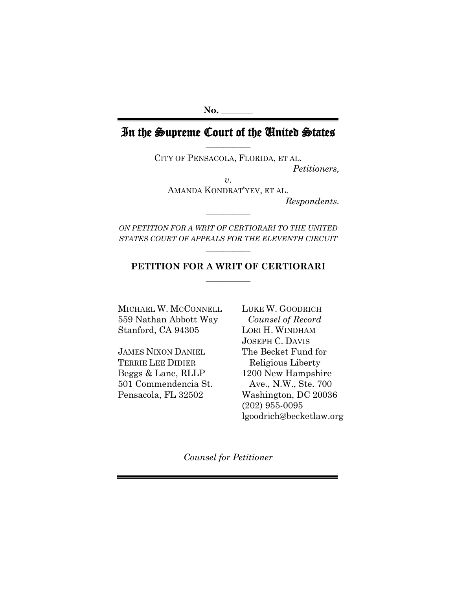## In the Supreme Court of the United States **\_\_\_\_\_\_\_\_\_\_**

CITY OF PENSACOLA, FLORIDA, ET AL. *Petitioners,*

*v*.

AMANDA KONDRAT'YEV, ET AL.

*Respondents.*

*ON PETITION FOR A WRIT OF CERTIORARI TO THE UNITED STATES COURT OF APPEALS FOR THE ELEVENTH CIRCUIT* **\_\_\_\_\_\_\_\_\_\_**

**\_\_\_\_\_\_\_\_\_\_**

## **PETITION FOR A WRIT OF CERTIORARI**  $\overline{\phantom{a}}$

MICHAEL W. MCCONNELL LUKE W. GOODRICH 559 Nathan Abbott Way *Counsel of Record* Stanford, CA 94305 LORI H. WINDHAM

JAMES NIXON DANIEL The Becket Fund for TERRIE LEE DIDIER Religious Liberty Beggs & Lane, RLLP 1200 New Hampshire 501 Commendencia St. Ave., N.W., Ste. 700

JOSEPH C. DAVIS Pensacola, FL 32502 Washington, DC 20036 (202) 955-0095 [lgoodrich@becketlaw.org](mailto:mrienzi@becketlaw.org)

*Counsel for Petitioner*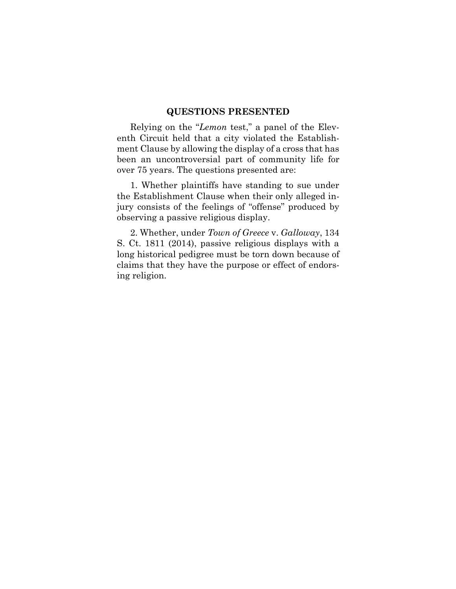## **QUESTIONS PRESENTED**

Relying on the "*Lemon* test," a panel of the Eleventh Circuit held that a city violated the Establishment Clause by allowing the display of a cross that has been an uncontroversial part of community life for over 75 years. The questions presented are:

1. Whether plaintiffs have standing to sue under the Establishment Clause when their only alleged injury consists of the feelings of "offense" produced by observing a passive religious display.

2. Whether, under *Town of Greece* v. *Galloway*, 134 S. Ct. 1811 (2014), passive religious displays with a long historical pedigree must be torn down because of claims that they have the purpose or effect of endorsing religion.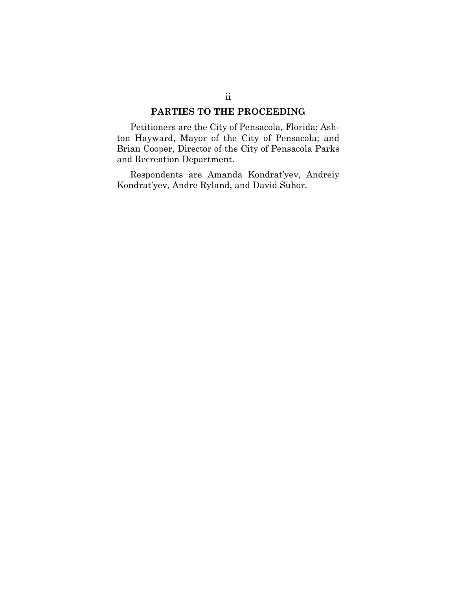## **PARTIES TO THE PROCEEDING**

Petitioners are the City of Pensacola, Florida; Ashton Hayward, Mayor of the City of Pensacola; and Brian Cooper, Director of the City of Pensacola Parks and Recreation Department.

Respondents are Amanda Kondrat'yev, Andreiy Kondrat'yev, Andre Ryland, and David Suhor.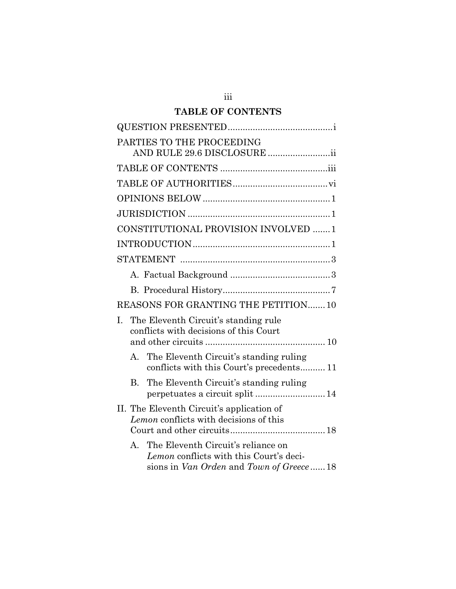## **TABLE OF CONTENTS**

| PARTIES TO THE PROCEEDING<br>AND RULE 29.6 DISCLOSURE ii                                                                                 |
|------------------------------------------------------------------------------------------------------------------------------------------|
|                                                                                                                                          |
|                                                                                                                                          |
|                                                                                                                                          |
|                                                                                                                                          |
| CONSTITUTIONAL PROVISION INVOLVED  1                                                                                                     |
|                                                                                                                                          |
|                                                                                                                                          |
|                                                                                                                                          |
|                                                                                                                                          |
| REASONS FOR GRANTING THE PETITION10                                                                                                      |
| The Eleventh Circuit's standing rule<br>L.<br>conflicts with decisions of this Court                                                     |
| A. The Eleventh Circuit's standing ruling<br>conflicts with this Court's precedents 11                                                   |
| The Eleventh Circuit's standing ruling<br>$B_{\cdot}$                                                                                    |
| II. The Eleventh Circuit's application of<br>Lemon conflicts with decisions of this                                                      |
| The Eleventh Circuit's reliance on<br>$\mathsf{A}$<br>Lemon conflicts with this Court's deci-<br>sions in Van Orden and Town of Greece18 |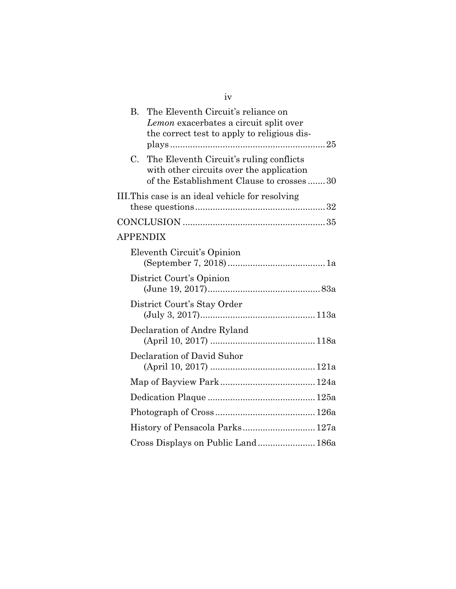| The Eleventh Circuit's reliance on<br>Lemon exacerbates a circuit split over<br>the correct test to apply to religious dis-     |  |
|---------------------------------------------------------------------------------------------------------------------------------|--|
| The Eleventh Circuit's ruling conflicts<br>with other circuits over the application<br>of the Establishment Clause to crosses30 |  |
| III. This case is an ideal vehicle for resolving                                                                                |  |
|                                                                                                                                 |  |
| <b>APPENDIX</b>                                                                                                                 |  |
| Eleventh Circuit's Opinion                                                                                                      |  |
| District Court's Opinion                                                                                                        |  |
| District Court's Stay Order                                                                                                     |  |
| Declaration of Andre Ryland                                                                                                     |  |
| Declaration of David Suhor                                                                                                      |  |
|                                                                                                                                 |  |
|                                                                                                                                 |  |
|                                                                                                                                 |  |
| History of Pensacola Parks 127a                                                                                                 |  |
| Cross Displays on Public Land 186a                                                                                              |  |
|                                                                                                                                 |  |

iv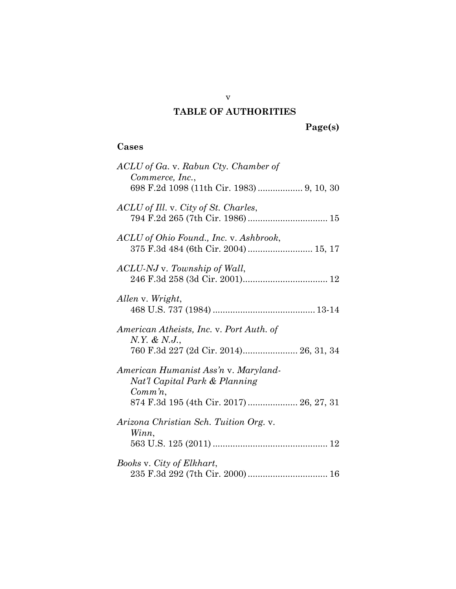## **TABLE OF AUTHORITIES**

**Page(s)**

## **Cases**

| ACLU of Ga. v. Rabun Cty. Chamber of<br>Commerce, Inc.,<br>698 F.2d 1098 (11th Cir. 1983)  9, 10, 30                              |
|-----------------------------------------------------------------------------------------------------------------------------------|
| ACLU of Ill. v. City of St. Charles,                                                                                              |
| ACLU of Ohio Found., Inc. v. Ashbrook,                                                                                            |
| ACLU-NJ v. Township of Wall,                                                                                                      |
| Allen v. Wright,                                                                                                                  |
| American Atheists, Inc. v. Port Auth. of<br>N.Y. & N.J.,<br>760 F.3d 227 (2d Cir. 2014) 26, 31, 34                                |
| American Humanist Ass'n v. Maryland-<br>Nat'l Capital Park & Planning<br>$Comm\, n$ ,<br>874 F.3d 195 (4th Cir. 2017)  26, 27, 31 |
| Arizona Christian Sch. Tuition Org. v.<br>Winn,                                                                                   |
| Books v. City of Elkhart,                                                                                                         |

v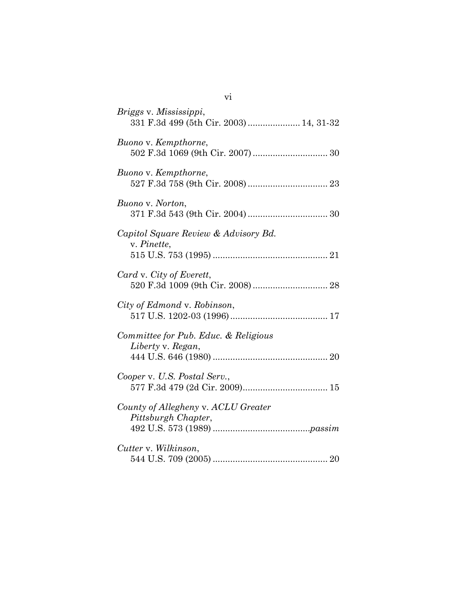| Briggs v. Mississippi,<br>331 F.3d 499 (5th Cir. 2003)  14, 31-32 |
|-------------------------------------------------------------------|
| Buono v. Kempthorne,                                              |
| Buono v. Kempthorne,                                              |
| Buono v. Norton,                                                  |
| Capitol Square Review & Advisory Bd.<br>v. Pinette,               |
| Card v. City of Everett,                                          |
| City of Edmond v. Robinson,                                       |
| Committee for Pub. Educ. & Religious<br>Liberty v. Regan,         |
| Cooper v. U.S. Postal Serv.,                                      |
| County of Allegheny v. ACLU Greater<br>Pittsburgh Chapter,        |
| Cutter v. Wilkinson,                                              |

vi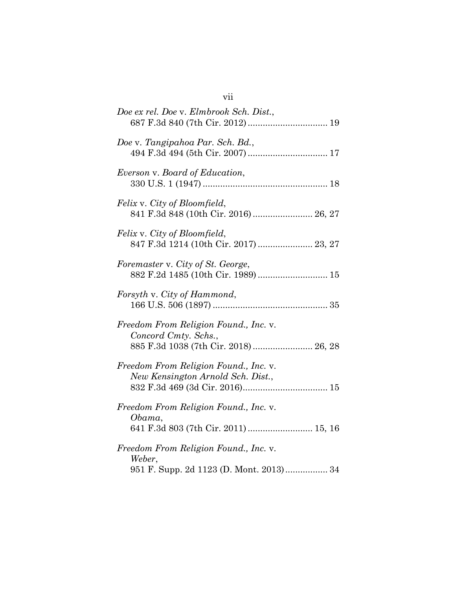| Doe ex rel. Doe v. Elmbrook Sch. Dist.,<br>687 F.3d 840 (7th Cir. 2012) 19                            |
|-------------------------------------------------------------------------------------------------------|
| Doe v. Tangipahoa Par. Sch. Bd.,<br>494 F.3d 494 (5th Cir. 2007)  17                                  |
| Everson v. Board of Education,                                                                        |
| Felix v. City of Bloomfield,<br>841 F.3d 848 (10th Cir. 2016) 26, 27                                  |
| Felix v. City of Bloomfield,<br>847 F.3d 1214 (10th Cir. 2017)  23, 27                                |
| Foremaster v. City of St. George,<br>882 F.2d 1485 (10th Cir. 1989) 15                                |
| Forsyth v. City of Hammond,                                                                           |
| Freedom From Religion Found., Inc. v.<br>Concord Cmty. Schs.,<br>885 F.3d 1038 (7th Cir. 2018) 26, 28 |
| Freedom From Religion Found., Inc. v.<br>New Kensington Arnold Sch. Dist.,                            |
| Freedom From Religion Found., Inc. v.<br>Obama,<br>641 F.3d 803 (7th Cir. 2011)  15, 16               |
| Freedom From Religion Found., Inc. v.<br>Weber,<br>951 F. Supp. 2d 1123 (D. Mont. 2013) 34            |

# vii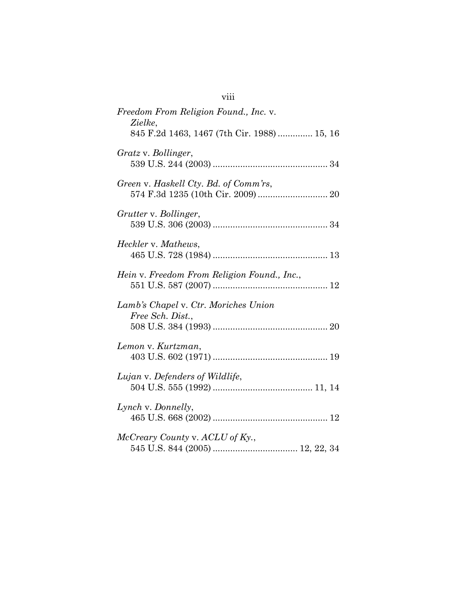| Freedom From Religion Found., Inc. v.<br>Zielke,<br>845 F.2d 1463, 1467 (7th Cir. 1988)  15, 16 |
|-------------------------------------------------------------------------------------------------|
| Gratz v. Bollinger,                                                                             |
| Green v. Haskell Cty. Bd. of Comm'rs,                                                           |
| Grutter v. Bollinger,                                                                           |
| Heckler v. Mathews,                                                                             |
| Hein v. Freedom From Religion Found., Inc.,                                                     |
| Lamb's Chapel v. Ctr. Moriches Union<br>Free Sch. Dist.,                                        |
| Lemon v. Kurtzman,                                                                              |
| Lujan v. Defenders of Wildlife,                                                                 |
| Lynch v. Donnelly,                                                                              |
|                                                                                                 |

viii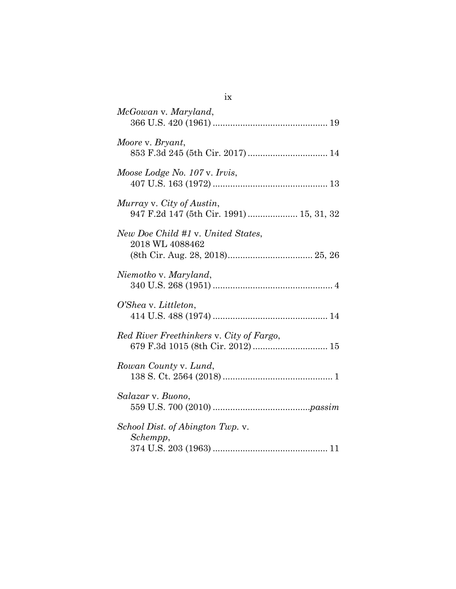| McGowan v. Maryland,                                                         |
|------------------------------------------------------------------------------|
| Moore v. Bryant,<br>853 F.3d 245 (5th Cir. 2017) 14                          |
| Moose Lodge No. 107 v. Irvis,                                                |
| Murray v. City of Austin,<br>947 F.2d 147 (5th Cir. 1991)  15, 31, 32        |
| New Doe Child #1 v. United States,<br>2018 WL 4088462                        |
| Niemotko v. Maryland,                                                        |
| O'Shea v. Littleton,                                                         |
| Red River Freethinkers v. City of Fargo,<br>679 F.3d 1015 (8th Cir. 2012) 15 |
| Rowan County v. Lund,                                                        |
| Salazar v. Buono,                                                            |
| School Dist. of Abington Twp. v.<br>Schempp,                                 |

ix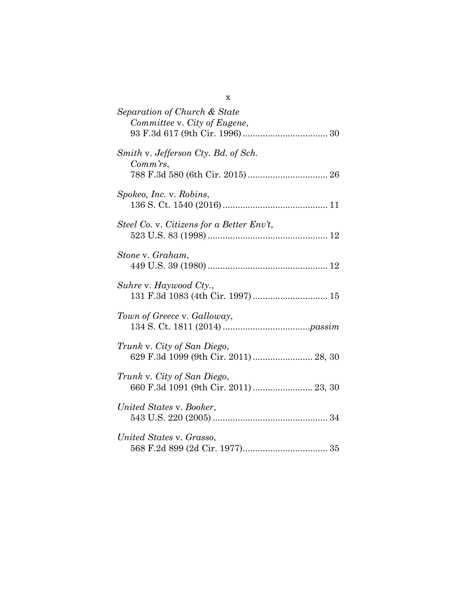| Separation of Church & State<br>Committee v. City of Eugene,         |
|----------------------------------------------------------------------|
| Smith v. Jefferson Cty. Bd. of Sch.<br>$Comm\,rs$ ,                  |
| Spokeo, Inc. v. Robins,                                              |
| Steel Co. v. Citizens for a Better Env't,                            |
| Stone v. Graham,                                                     |
| Suhre v. Haywood Cty.,<br>131 F.3d 1083 (4th Cir. 1997)  15          |
| Town of Greece v. Galloway,                                          |
| Trunk v. City of San Diego,                                          |
| Trunk v. City of San Diego,<br>660 F.3d 1091 (9th Cir. 2011)  23, 30 |
| United States v. Booker,                                             |
| United States v. Grasso,                                             |

x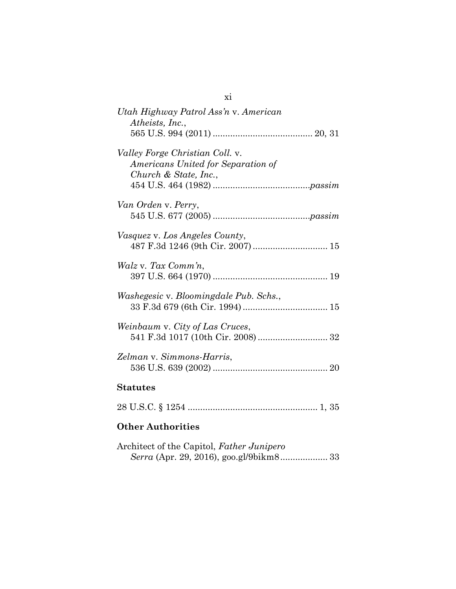| Utah Highway Patrol Ass'n v. American<br>Atheists, Inc.,                                       |
|------------------------------------------------------------------------------------------------|
| Valley Forge Christian Coll. v.<br>Americans United for Separation of<br>Church & State, Inc., |
| Van Orden v. Perry,                                                                            |
| <i>Vasquez v. Los Angeles County,</i>                                                          |
| Walz v. Tax Comm'n,                                                                            |
| <i>Washegesic v. Bloomingdale Pub. Schs.,</i>                                                  |
| Weinbaum v. City of Las Cruces,<br>541 F.3d 1017 (10th Cir. 2008)  32                          |
| Zelman v. Simmons-Harris,                                                                      |
| <b>Statutes</b>                                                                                |
|                                                                                                |

xi

## **Other Authorities**

| Architect of the Capitol, Father Junipero |  |
|-------------------------------------------|--|
|                                           |  |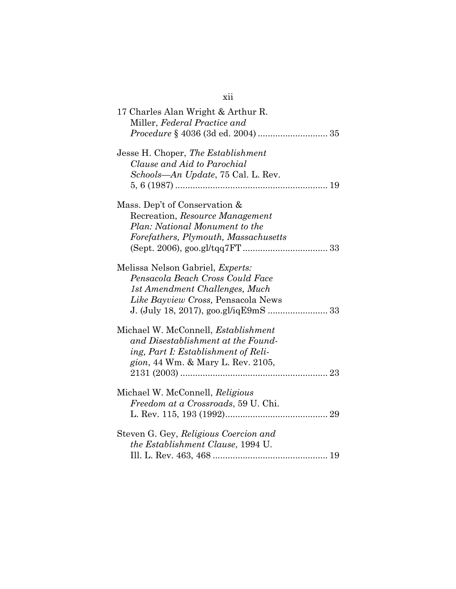| 17 Charles Alan Wright & Arthur R.<br>Miller, Federal Practice and                                                                                                                    |
|---------------------------------------------------------------------------------------------------------------------------------------------------------------------------------------|
| Jesse H. Choper, The Establishment<br>Clause and Aid to Parochial<br>Schools—An Update, 75 Cal. L. Rev.                                                                               |
| Mass. Dep't of Conservation &<br>Recreation, Resource Management<br>Plan: National Monument to the<br>Forefathers, Plymouth, Massachusetts                                            |
| Melissa Nelson Gabriel, Experts:<br>Pensacola Beach Cross Could Face<br>1st Amendment Challenges, Much<br>Like Bayview Cross, Pensacola News<br>J. (July 18, 2017), goo.gl/iqE9mS  33 |
| Michael W. McConnell, <i>Establishment</i><br>and Disestablishment at the Found-<br>ing, Part I: Establishment of Reli-<br>gion, 44 Wm. & Mary L. Rev. 2105,                          |
| Michael W. McConnell, Religious<br>Freedom at a Crossroads, 59 U. Chi.                                                                                                                |
| Steven G. Gey, Religious Coercion and<br><i>the Establishment Clause, 1994 U.</i>                                                                                                     |

## xii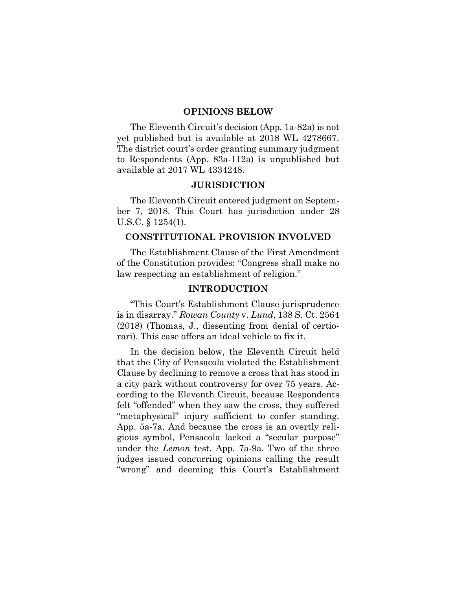#### **OPINIONS BELOW**

The Eleventh Circuit's decision (App. 1a-82a) is not yet published but is available at 2018 WL 4278667. The district court's order granting summary judgment to Respondents (App. 83a-112a) is unpublished but available at 2017 WL 4334248.

#### **JURISDICTION**

The Eleventh Circuit entered judgment on September 7, 2018. This Court has jurisdiction under 28 U.S.C. § 1254(1).

### **CONSTITUTIONAL PROVISION INVOLVED**

The Establishment Clause of the First Amendment of the Constitution provides: "Congress shall make no law respecting an establishment of religion."

#### **INTRODUCTION**

"This Court's Establishment Clause jurisprudence is in disarray." *Rowan County* v. *Lund*, 138 S. Ct. 2564 (2018) (Thomas, J., dissenting from denial of certiorari). This case offers an ideal vehicle to fix it.

In the decision below, the Eleventh Circuit held that the City of Pensacola violated the Establishment Clause by declining to remove a cross that has stood in a city park without controversy for over 75 years. According to the Eleventh Circuit, because Respondents felt "offended" when they saw the cross, they suffered "metaphysical" injury sufficient to confer standing. App. 5a-7a. And because the cross is an overtly religious symbol, Pensacola lacked a "secular purpose" under the *Lemon* test. App. 7a-9a. Two of the three judges issued concurring opinions calling the result "wrong" and deeming this Court's Establishment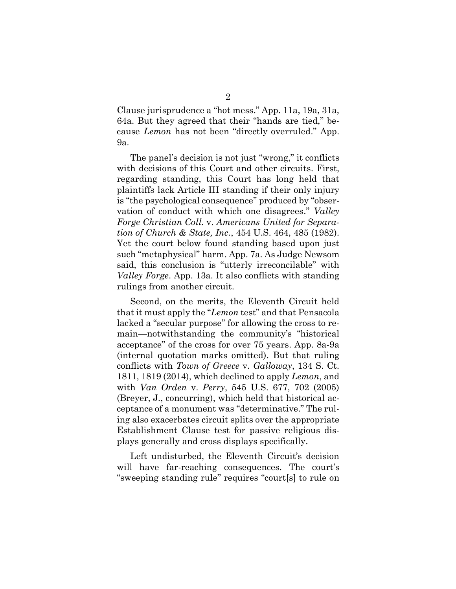Clause jurisprudence a "hot mess." App. 11a, 19a, 31a, 64a. But they agreed that their "hands are tied," because *Lemon* has not been "directly overruled." App. 9a.

The panel's decision is not just "wrong," it conflicts with decisions of this Court and other circuits. First, regarding standing, this Court has long held that plaintiffs lack Article III standing if their only injury is "the psychological consequence" produced by "observation of conduct with which one disagrees." *Valley Forge Christian Coll.* v. *Americans United for Separation of Church & State, Inc.*, 454 U.S. 464, 485 (1982). Yet the court below found standing based upon just such "metaphysical" harm. App. 7a. As Judge Newsom said, this conclusion is "utterly irreconcilable" with *Valley Forge*. App. 13a. It also conflicts with standing rulings from another circuit.

Second, on the merits, the Eleventh Circuit held that it must apply the "*Lemon* test" and that Pensacola lacked a "secular purpose" for allowing the cross to remain—notwithstanding the community's "historical acceptance" of the cross for over 75 years. App. 8a-9a (internal quotation marks omitted). But that ruling conflicts with *Town of Greece* v. *Galloway*, 134 S. Ct. 1811, 1819 (2014), which declined to apply *Lemon*, and with *Van Orden* v. *Perry*, 545 U.S. 677, 702 (2005) (Breyer, J., concurring), which held that historical acceptance of a monument was "determinative." The ruling also exacerbates circuit splits over the appropriate Establishment Clause test for passive religious displays generally and cross displays specifically.

Left undisturbed, the Eleventh Circuit's decision will have far-reaching consequences. The court's "sweeping standing rule" requires "court[s] to rule on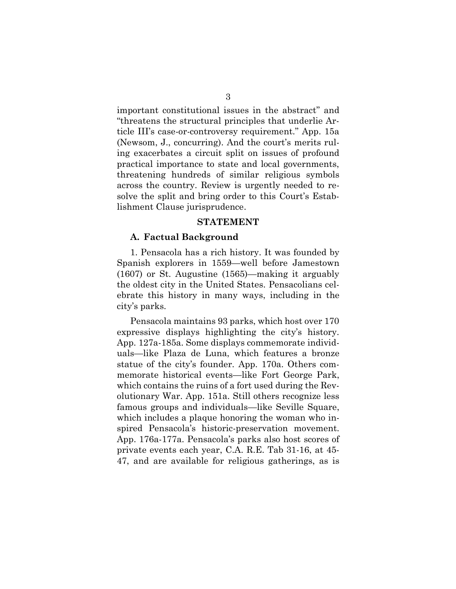important constitutional issues in the abstract" and "threatens the structural principles that underlie Article III's case-or-controversy requirement." App. 15a (Newsom, J., concurring). And the court's merits ruling exacerbates a circuit split on issues of profound practical importance to state and local governments, threatening hundreds of similar religious symbols across the country. Review is urgently needed to resolve the split and bring order to this Court's Establishment Clause jurisprudence.

#### **STATEMENT**

#### **A. Factual Background**

1. Pensacola has a rich history. It was founded by Spanish explorers in 1559—well before Jamestown (1607) or St. Augustine (1565)—making it arguably the oldest city in the United States. Pensacolians celebrate this history in many ways, including in the city's parks.

Pensacola maintains 93 parks, which host over 170 expressive displays highlighting the city's history. App. 127a-185a. Some displays commemorate individuals—like Plaza de Luna, which features a bronze statue of the city's founder. App. 170a. Others commemorate historical events—like Fort George Park, which contains the ruins of a fort used during the Revolutionary War. App. 151a. Still others recognize less famous groups and individuals—like Seville Square, which includes a plaque honoring the woman who inspired Pensacola's historic-preservation movement. App. 176a-177a. Pensacola's parks also host scores of private events each year, C.A. R.E. Tab 31-16, at 45- 47, and are available for religious gatherings, as is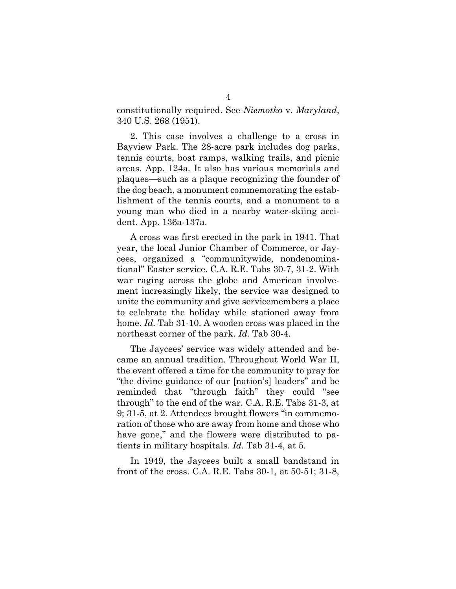constitutionally required. See *Niemotko* v. *Maryland*, 340 U.S. 268 (1951).

2. This case involves a challenge to a cross in Bayview Park. The 28-acre park includes dog parks, tennis courts, boat ramps, walking trails, and picnic areas. App. 124a. It also has various memorials and plaques—such as a plaque recognizing the founder of the dog beach, a monument commemorating the establishment of the tennis courts, and a monument to a young man who died in a nearby water-skiing accident. App. 136a-137a.

A cross was first erected in the park in 1941. That year, the local Junior Chamber of Commerce, or Jaycees, organized a "communitywide, nondenominational" Easter service. C.A. R.E. Tabs 30-7, 31-2. With war raging across the globe and American involvement increasingly likely, the service was designed to unite the community and give servicemembers a place to celebrate the holiday while stationed away from home. *Id.* Tab 31-10. A wooden cross was placed in the northeast corner of the park. *Id.* Tab 30-4.

The Jaycees' service was widely attended and became an annual tradition. Throughout World War II, the event offered a time for the community to pray for "the divine guidance of our [nation's] leaders" and be reminded that "through faith" they could "see through" to the end of the war. C.A. R.E. Tabs 31-3, at 9; 31-5, at 2. Attendees brought flowers "in commemoration of those who are away from home and those who have gone," and the flowers were distributed to patients in military hospitals. *Id.* Tab 31-4, at 5.

In 1949, the Jaycees built a small bandstand in front of the cross. C.A. R.E. Tabs 30-1, at 50-51; 31-8,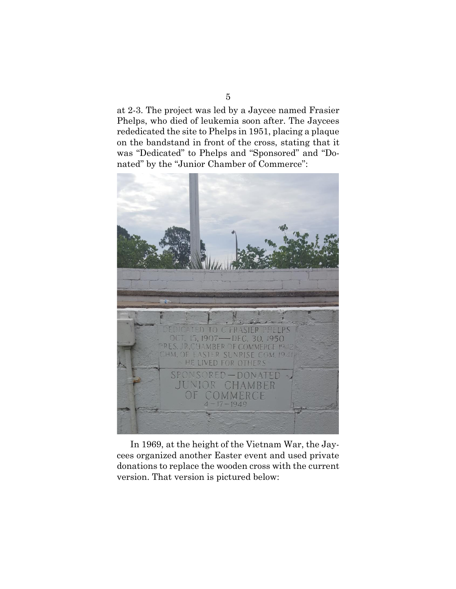at 2-3. The project was led by a Jaycee named Frasier Phelps, who died of leukemia soon after. The Jaycees rededicated the site to Phelps in 1951, placing a plaque on the bandstand in front of the cross, stating that it was "Dedicated" to Phelps and "Sponsored" and "Donated" by the "Junior Chamber of Commerce":



In 1969, at the height of the Vietnam War, the Jaycees organized another Easter event and used private donations to replace the wooden cross with the current version. That version is pictured below: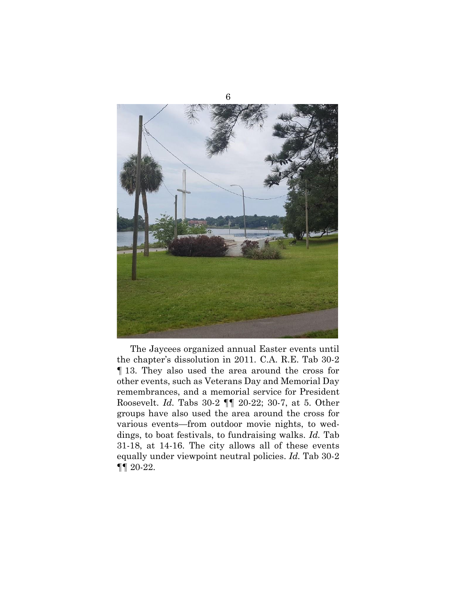

The Jaycees organized annual Easter events until the chapter's dissolution in 2011. C.A. R.E. Tab 30-2 ¶ 13. They also used the area around the cross for other events, such as Veterans Day and Memorial Day remembrances, and a memorial service for President Roosevelt. *Id.* Tabs 30-2 ¶¶ 20-22; 30-7, at 5. Other groups have also used the area around the cross for various events—from outdoor movie nights, to weddings, to boat festivals, to fundraising walks. *Id.* Tab 31-18, at 14-16. The city allows all of these events equally under viewpoint neutral policies. *Id.* Tab 30-2 ¶¶ 20-22.

6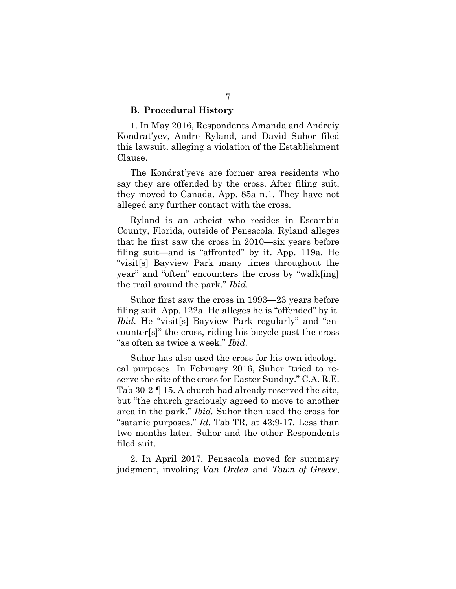### **B. Procedural History**

1. In May 2016, Respondents Amanda and Andreiy Kondrat'yev, Andre Ryland, and David Suhor filed this lawsuit, alleging a violation of the Establishment Clause.

The Kondrat'yevs are former area residents who say they are offended by the cross. After filing suit, they moved to Canada. App. 85a n.1. They have not alleged any further contact with the cross.

Ryland is an atheist who resides in Escambia County, Florida, outside of Pensacola. Ryland alleges that he first saw the cross in 2010—six years before filing suit—and is "affronted" by it. App. 119a. He "visit[s] Bayview Park many times throughout the year" and "often" encounters the cross by "walk[ing] the trail around the park." *Ibid.*

Suhor first saw the cross in 1993—23 years before filing suit. App. 122a. He alleges he is "offended" by it. *Ibid.* He "visit[s] Bayview Park regularly" and "encounter[s]" the cross, riding his bicycle past the cross "as often as twice a week." *Ibid.*

Suhor has also used the cross for his own ideological purposes. In February 2016, Suhor "tried to reserve the site of the cross for Easter Sunday." C.A. R.E. Tab 30-2 ¶ 15. A church had already reserved the site, but "the church graciously agreed to move to another area in the park." *Ibid.* Suhor then used the cross for "satanic purposes." *Id.* Tab TR, at 43:9-17. Less than two months later, Suhor and the other Respondents filed suit.

2. In April 2017, Pensacola moved for summary judgment, invoking *Van Orden* and *Town of Greece*,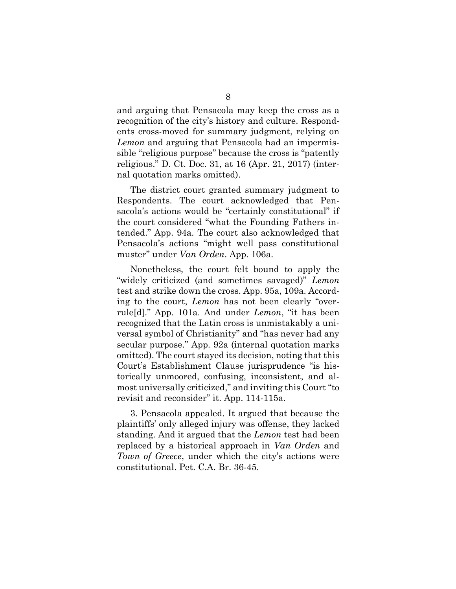and arguing that Pensacola may keep the cross as a recognition of the city's history and culture. Respondents cross-moved for summary judgment, relying on *Lemon* and arguing that Pensacola had an impermissible "religious purpose" because the cross is "patently religious." D. Ct. Doc. 31, at 16 (Apr. 21, 2017) (internal quotation marks omitted).

The district court granted summary judgment to Respondents. The court acknowledged that Pensacola's actions would be "certainly constitutional" if the court considered "what the Founding Fathers intended." App. 94a. The court also acknowledged that Pensacola's actions "might well pass constitutional muster" under *Van Orden*. App. 106a.

Nonetheless, the court felt bound to apply the "widely criticized (and sometimes savaged)" *Lemon* test and strike down the cross. App. 95a, 109a. According to the court, *Lemon* has not been clearly "overrule[d]." App. 101a. And under *Lemon*, "it has been recognized that the Latin cross is unmistakably a universal symbol of Christianity" and "has never had any secular purpose." App. 92a (internal quotation marks omitted). The court stayed its decision, noting that this Court's Establishment Clause jurisprudence "is historically unmoored, confusing, inconsistent, and almost universally criticized," and inviting this Court "to revisit and reconsider" it. App. 114-115a.

3. Pensacola appealed. It argued that because the plaintiffs' only alleged injury was offense, they lacked standing. And it argued that the *Lemon* test had been replaced by a historical approach in *Van Orden* and *Town of Greece*, under which the city's actions were constitutional. Pet. C.A. Br. 36-45.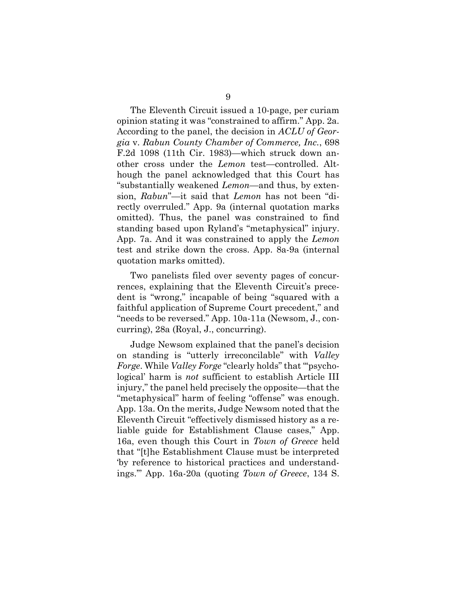The Eleventh Circuit issued a 10-page, per curiam opinion stating it was "constrained to affirm." App. 2a. According to the panel, the decision in *ACLU of Georgia* v. *Rabun County Chamber of Commerce, Inc.*, 698 F.2d 1098 (11th Cir. 1983)—which struck down another cross under the *Lemon* test—controlled. Although the panel acknowledged that this Court has "substantially weakened *Lemon*—and thus, by extension, *Rabun*"—it said that *Lemon* has not been "directly overruled." App. 9a (internal quotation marks omitted). Thus, the panel was constrained to find standing based upon Ryland's "metaphysical" injury. App. 7a. And it was constrained to apply the *Lemon* test and strike down the cross. App. 8a-9a (internal quotation marks omitted).

Two panelists filed over seventy pages of concurrences, explaining that the Eleventh Circuit's precedent is "wrong," incapable of being "squared with a faithful application of Supreme Court precedent," and "needs to be reversed." App. 10a-11a (Newsom, J., concurring), 28a (Royal, J., concurring).

Judge Newsom explained that the panel's decision on standing is "utterly irreconcilable" with *Valley Forge*. While *Valley Forge* "clearly holds" that "'psychological' harm is *not* sufficient to establish Article III injury," the panel held precisely the opposite—that the "metaphysical" harm of feeling "offense" was enough. App. 13a. On the merits, Judge Newsom noted that the Eleventh Circuit "effectively dismissed history as a reliable guide for Establishment Clause cases," App. 16a, even though this Court in *Town of Greece* held that "[t]he Establishment Clause must be interpreted 'by reference to historical practices and understandings.'" App. 16a-20a (quoting *Town of Greece*, 134 S.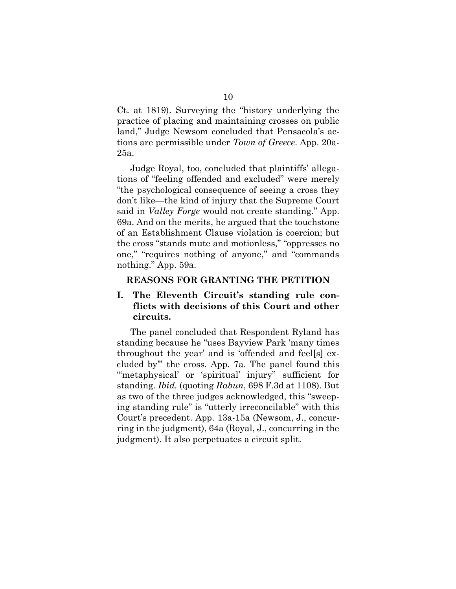Ct. at 1819). Surveying the "history underlying the practice of placing and maintaining crosses on public land," Judge Newsom concluded that Pensacola's actions are permissible under *Town of Greece*. App. 20a-25a.

Judge Royal, too, concluded that plaintiffs' allegations of "feeling offended and excluded" were merely "the psychological consequence of seeing a cross they don't like—the kind of injury that the Supreme Court said in *Valley Forge* would not create standing." App. 69a. And on the merits, he argued that the touchstone of an Establishment Clause violation is coercion; but the cross "stands mute and motionless," "oppresses no one," "requires nothing of anyone," and "commands nothing." App. 59a.

#### **REASONS FOR GRANTING THE PETITION**

## **I. The Eleventh Circuit's standing rule conflicts with decisions of this Court and other circuits.**

The panel concluded that Respondent Ryland has standing because he "uses Bayview Park 'many times throughout the year' and is 'offended and feel[s] excluded by'" the cross. App. 7a. The panel found this "metaphysical' or 'spiritual' injury" sufficient for standing. *Ibid.* (quoting *Rabun*, 698 F.3d at 1108). But as two of the three judges acknowledged, this "sweeping standing rule" is "utterly irreconcilable" with this Court's precedent. App. 13a-15a (Newsom, J., concurring in the judgment), 64a (Royal, J., concurring in the judgment). It also perpetuates a circuit split.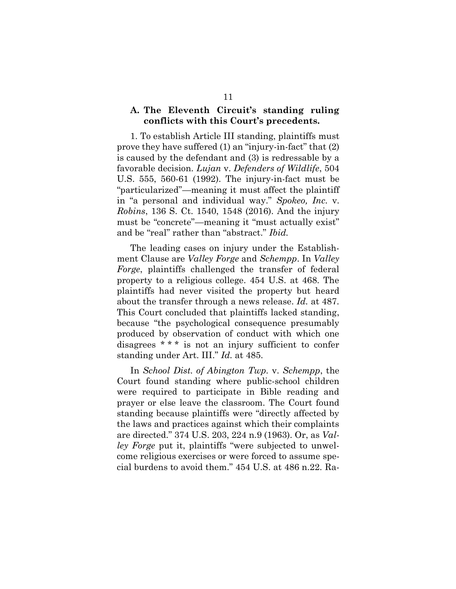### **A. The Eleventh Circuit's standing ruling conflicts with this Court's precedents.**

1. To establish Article III standing, plaintiffs must prove they have suffered (1) an "injury-in-fact" that (2) is caused by the defendant and (3) is redressable by a favorable decision. *Lujan* v. *Defenders of Wildlife*, 504 U.S. 555, 560-61 (1992). The injury-in-fact must be "particularized"—meaning it must affect the plaintiff in "a personal and individual way." *Spokeo, Inc.* v. *Robins*, 136 S. Ct. 1540, 1548 (2016). And the injury must be "concrete"—meaning it "must actually exist" and be "real" rather than "abstract." *Ibid.*

The leading cases on injury under the Establishment Clause are *Valley Forge* and *Schempp*. In *Valley Forge*, plaintiffs challenged the transfer of federal property to a religious college. 454 U.S. at 468. The plaintiffs had never visited the property but heard about the transfer through a news release. *Id.* at 487. This Court concluded that plaintiffs lacked standing, because "the psychological consequence presumably produced by observation of conduct with which one disagrees \* \* \* is not an injury sufficient to confer standing under Art. III." *Id.* at 485.

In *School Dist. of Abington Twp.* v. *Schempp*, the Court found standing where public-school children were required to participate in Bible reading and prayer or else leave the classroom. The Court found standing because plaintiffs were "directly affected by the laws and practices against which their complaints are directed." 374 U.S. 203, 224 n.9 (1963). Or, as *Valley Forge* put it, plaintiffs "were subjected to unwelcome religious exercises or were forced to assume special burdens to avoid them." 454 U.S. at 486 n.22. Ra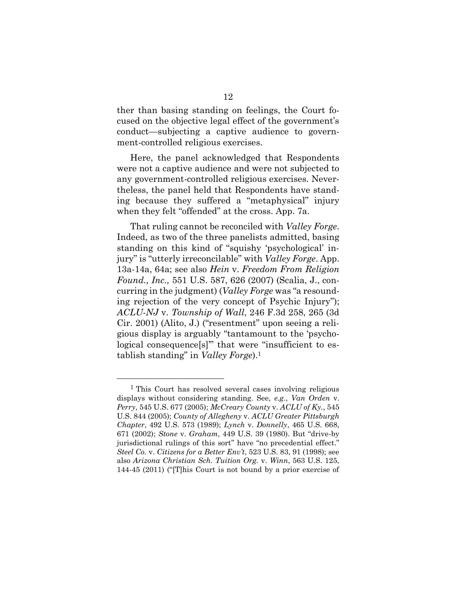ther than basing standing on feelings, the Court focused on the objective legal effect of the government's conduct—subjecting a captive audience to government-controlled religious exercises.

Here, the panel acknowledged that Respondents were not a captive audience and were not subjected to any government-controlled religious exercises. Nevertheless, the panel held that Respondents have standing because they suffered a "metaphysical" injury when they felt "offended" at the cross. App. 7a.

That ruling cannot be reconciled with *Valley Forge*. Indeed, as two of the three panelists admitted, basing standing on this kind of "squishy 'psychological' injury" is "utterly irreconcilable" with *Valley Forge*. App. 13a-14a, 64a; see also *Hein* v. *Freedom From Religion Found., Inc.,* 551 U.S. 587, 626 (2007) (Scalia, J., concurring in the judgment) (*Valley Forge* was "a resounding rejection of the very concept of Psychic Injury"); *ACLU-NJ* v. *Township of Wall*, 246 F.3d 258, 265 (3d Cir. 2001) (Alito, J.) ("resentment" upon seeing a religious display is arguably "tantamount to the 'psychological consequence[s]'" that were "insufficient to establish standing" in *Valley Forge*).<sup>1</sup>

<sup>1</sup> This Court has resolved several cases involving religious displays without considering standing. See, *e.g.*, *Van Orden* v. *Perry*, 545 U.S. 677 (2005); *McCreary County* v. *ACLU of Ky.*, 545 U.S. 844 (2005); *County of Allegheny* v. *ACLU Greater Pittsburgh Chapter*, 492 U.S. 573 (1989); *Lynch* v. *Donnelly*, 465 U.S. 668, 671 (2002); *Stone* v. *Graham*, 449 U.S. 39 (1980). But "drive-by jurisdictional rulings of this sort" have "no precedential effect." *Steel Co.* v. *Citizens for a Better Env't*, 523 U.S. 83, 91 (1998); see also *Arizona Christian Sch. Tuition Org.* v. *Winn*, 563 U.S. 125, 144-45 (2011) ("[T]his Court is not bound by a prior exercise of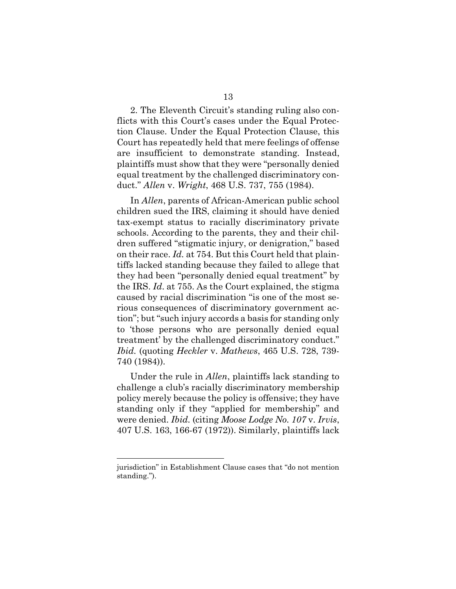2. The Eleventh Circuit's standing ruling also conflicts with this Court's cases under the Equal Protection Clause. Under the Equal Protection Clause, this Court has repeatedly held that mere feelings of offense are insufficient to demonstrate standing. Instead, plaintiffs must show that they were "personally denied equal treatment by the challenged discriminatory conduct." *Allen* v. *Wright*, 468 U.S. 737, 755 (1984).

In *Allen*, parents of African-American public school children sued the IRS, claiming it should have denied tax-exempt status to racially discriminatory private schools. According to the parents, they and their children suffered "stigmatic injury, or denigration," based on their race. *Id.* at 754. But this Court held that plaintiffs lacked standing because they failed to allege that they had been "personally denied equal treatment" by the IRS. *Id*. at 755. As the Court explained, the stigma caused by racial discrimination "is one of the most serious consequences of discriminatory government action"; but "such injury accords a basis for standing only to 'those persons who are personally denied equal treatment' by the challenged discriminatory conduct." *Ibid.* (quoting *Heckler* v. *Mathews*, 465 U.S. 728, 739- 740 (1984)).

Under the rule in *Allen*, plaintiffs lack standing to challenge a club's racially discriminatory membership policy merely because the policy is offensive; they have standing only if they "applied for membership" and were denied. *Ibid.* (citing *Moose Lodge No. 107* v. *Irvis*, 407 U.S. 163, 166-67 (1972)). Similarly, plaintiffs lack

l

jurisdiction" in Establishment Clause cases that "do not mention standing.").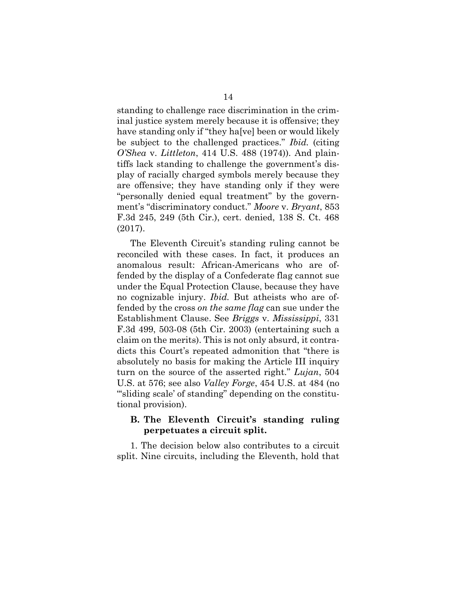standing to challenge race discrimination in the criminal justice system merely because it is offensive; they have standing only if "they ha[ve] been or would likely be subject to the challenged practices." *Ibid.* (citing *O'Shea* v. *Littleton*, 414 U.S. 488 (1974)). And plaintiffs lack standing to challenge the government's display of racially charged symbols merely because they are offensive; they have standing only if they were "personally denied equal treatment" by the government's "discriminatory conduct." *Moore* v. *Bryant*, 853 F.3d 245, 249 (5th Cir.), cert. denied, 138 S. Ct. 468 (2017).

The Eleventh Circuit's standing ruling cannot be reconciled with these cases. In fact, it produces an anomalous result: African-Americans who are offended by the display of a Confederate flag cannot sue under the Equal Protection Clause, because they have no cognizable injury. *Ibid.* But atheists who are offended by the cross *on the same flag* can sue under the Establishment Clause. See *Briggs* v. *Mississippi*, 331 F.3d 499, 503-08 (5th Cir. 2003) (entertaining such a claim on the merits). This is not only absurd, it contradicts this Court's repeated admonition that "there is absolutely no basis for making the Article III inquiry turn on the source of the asserted right." *Lujan*, 504 U.S. at 576; see also *Valley Forge*, 454 U.S. at 484 (no "'sliding scale' of standing" depending on the constitutional provision).

### **B. The Eleventh Circuit's standing ruling perpetuates a circuit split.**

1. The decision below also contributes to a circuit split. Nine circuits, including the Eleventh, hold that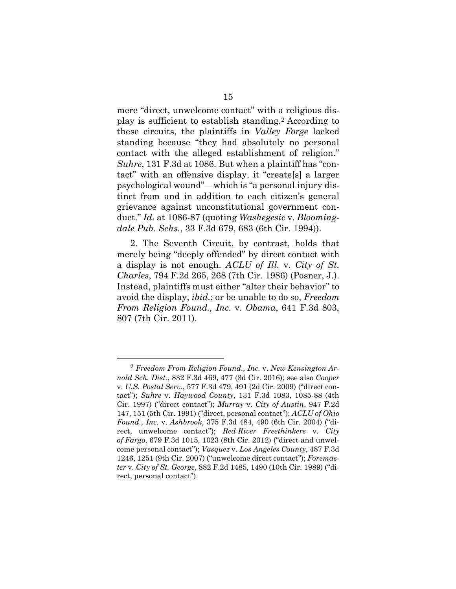mere "direct, unwelcome contact" with a religious display is sufficient to establish standing.<sup>2</sup> According to these circuits, the plaintiffs in *Valley Forge* lacked standing because "they had absolutely no personal contact with the alleged establishment of religion." *Suhre*, 131 F.3d at 1086. But when a plaintiff has "contact" with an offensive display, it "create[s] a larger psychological wound"—which is "a personal injury distinct from and in addition to each citizen's general grievance against unconstitutional government conduct." *Id.* at 1086-87 (quoting *Washegesic* v. *Bloomingdale Pub. Schs.*, 33 F.3d 679, 683 (6th Cir. 1994)).

2. The Seventh Circuit, by contrast, holds that merely being "deeply offended" by direct contact with a display is not enough. *ACLU of Ill.* v. *City of St. Charles*, 794 F.2d 265, 268 (7th Cir. 1986) (Posner, J.). Instead, plaintiffs must either "alter their behavior" to avoid the display, *ibid.*; or be unable to do so, *Freedom From Religion Found., Inc.* v. *Obama*, 641 F.3d 803, 807 (7th Cir. 2011).

<sup>2</sup> *Freedom From Religion Found., Inc.* v. *New Kensington Arnold Sch. Dist.*, 832 F.3d 469, 477 (3d Cir. 2016); see also *Cooper*  v. *U.S. Postal Serv.*, 577 F.3d 479, 491 (2d Cir. 2009) ("direct contact"); *Suhre* v. *Haywood County*, 131 F.3d 1083, 1085-88 (4th Cir. 1997) ("direct contact"); *Murray* v. *City of Austin*, 947 F.2d 147, 151 (5th Cir. 1991) ("direct, personal contact"); *ACLU of Ohio Found., Inc.* v. *Ashbrook*, 375 F.3d 484, 490 (6th Cir. 2004) ("direct, unwelcome contact"); *Red River Freethinkers* v. *City of Fargo*, 679 F.3d 1015, 1023 (8th Cir. 2012) ("direct and unwelcome personal contact"); *Vasquez* v. *Los Angeles County*, 487 F.3d 1246, 1251 (9th Cir. 2007) ("unwelcome direct contact"); *Foremaster* v. *City of St. George*, 882 F.2d 1485, 1490 (10th Cir. 1989) ("direct, personal contact").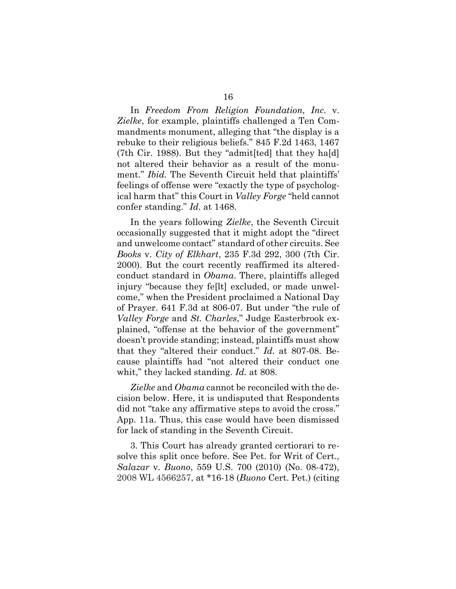In *Freedom From Religion Foundation, Inc.* v. *Zielke*, for example, plaintiffs challenged a Ten Commandments monument, alleging that "the display is a rebuke to their religious beliefs." 845 F.2d 1463, 1467 (7th Cir. 1988). But they "admit[ted] that they ha[d] not altered their behavior as a result of the monument." *Ibid.* The Seventh Circuit held that plaintiffs' feelings of offense were "exactly the type of psychological harm that" this Court in *Valley Forge* "held cannot confer standing." *Id.* at 1468.

In the years following *Zielke*, the Seventh Circuit occasionally suggested that it might adopt the "direct and unwelcome contact" standard of other circuits. See *Books* v. *City of Elkhart*, 235 F.3d 292, 300 (7th Cir. 2000). But the court recently reaffirmed its alteredconduct standard in *Obama*. There, plaintiffs alleged injury "because they fe[lt] excluded, or made unwelcome," when the President proclaimed a National Day of Prayer. 641 F.3d at 806-07. But under "the rule of *Valley Forge* and *St. Charles*," Judge Easterbrook explained, "offense at the behavior of the government" doesn't provide standing; instead, plaintiffs must show that they "altered their conduct." *Id.* at 807-08. Because plaintiffs had "not altered their conduct one whit," they lacked standing. *Id.* at 808.

*Zielke* and *Obama* cannot be reconciled with the decision below. Here, it is undisputed that Respondents did not "take any affirmative steps to avoid the cross." App. 11a. Thus, this case would have been dismissed for lack of standing in the Seventh Circuit.

3. This Court has already granted certiorari to resolve this split once before. See Pet. for Writ of Cert., *Salazar* v. *Buono*, 559 U.S. 700 (2010) (No. 08-472), 2008 WL 4566257, at \*16-18 (*Buono* Cert. Pet.) (citing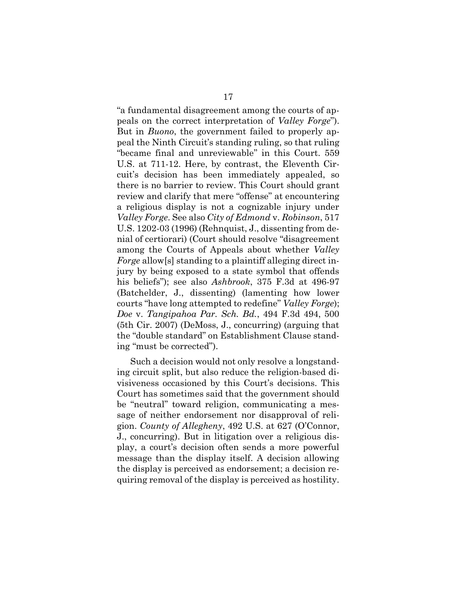"a fundamental disagreement among the courts of appeals on the correct interpretation of *Valley Forge*"). But in *Buono*, the government failed to properly appeal the Ninth Circuit's standing ruling, so that ruling "became final and unreviewable" in this Court. 559 U.S. at 711-12. Here, by contrast, the Eleventh Circuit's decision has been immediately appealed, so there is no barrier to review. This Court should grant review and clarify that mere "offense" at encountering a religious display is not a cognizable injury under *Valley Forge*. See also *City of Edmond* v. *Robinson*, 517 U.S. 1202-03 (1996) (Rehnquist, J., dissenting from denial of certiorari) (Court should resolve "disagreement among the Courts of Appeals about whether *Valley Forge* allow[s] standing to a plaintiff alleging direct injury by being exposed to a state symbol that offends his beliefs"); see also *Ashbrook*, 375 F.3d at 496-97 (Batchelder, J., dissenting) (lamenting how lower courts "have long attempted to redefine" *Valley Forge*); *Doe* v. *Tangipahoa Par. Sch. Bd.*, 494 F.3d 494, 500 (5th Cir. 2007) (DeMoss, J., concurring) (arguing that the "double standard" on Establishment Clause standing "must be corrected").

Such a decision would not only resolve a longstanding circuit split, but also reduce the religion-based divisiveness occasioned by this Court's decisions. This Court has sometimes said that the government should be "neutral" toward religion, communicating a message of neither endorsement nor disapproval of religion. *County of Allegheny*, 492 U.S. at 627 (O'Connor, J., concurring). But in litigation over a religious display, a court's decision often sends a more powerful message than the display itself. A decision allowing the display is perceived as endorsement; a decision requiring removal of the display is perceived as hostility.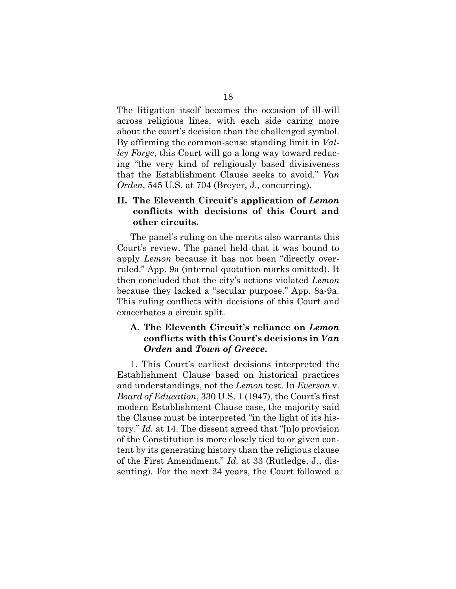The litigation itself becomes the occasion of ill-will across religious lines, with each side caring more about the court's decision than the challenged symbol. By affirming the common-sense standing limit in *Valley Forge*, this Court will go a long way toward reducing "the very kind of religiously based divisiveness that the Establishment Clause seeks to avoid." *Van Orden*, 545 U.S. at 704 (Breyer, J., concurring).

## **II. The Eleventh Circuit's application of** *Lemon* **conflicts with decisions of this Court and other circuits.**

The panel's ruling on the merits also warrants this Court's review. The panel held that it was bound to apply *Lemon* because it has not been "directly overruled." App. 9a (internal quotation marks omitted). It then concluded that the city's actions violated *Lemon* because they lacked a "secular purpose." App. 8a-9a. This ruling conflicts with decisions of this Court and exacerbates a circuit split.

## **A. The Eleventh Circuit's reliance on** *Lemon* **conflicts with this Court's decisions in** *Van Orden* **and** *Town of Greece***.**

1. This Court's earliest decisions interpreted the Establishment Clause based on historical practices and understandings, not the *Lemon* test. In *Everson* v. *Board of Education*, 330 U.S. 1 (1947), the Court's first modern Establishment Clause case, the majority said the Clause must be interpreted "in the light of its history." *Id.* at 14. The dissent agreed that "[n]o provision of the Constitution is more closely tied to or given content by its generating history than the religious clause of the First Amendment." *Id.* at 33 (Rutledge, J., dissenting). For the next 24 years, the Court followed a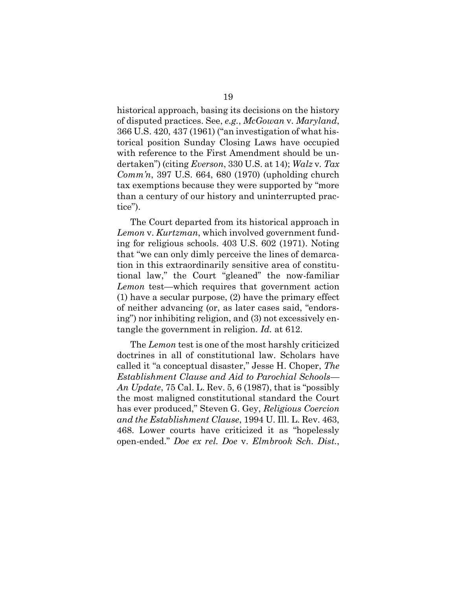historical approach, basing its decisions on the history of disputed practices. See, *e.g.*, *McGowan* v*. Maryland*, 366 U.S. 420, 437 (1961) ("an investigation of what historical position Sunday Closing Laws have occupied with reference to the First Amendment should be undertaken") (citing *Everson*, 330 U.S. at 14); *Walz* v*. Tax Comm'n*, 397 U.S. 664, 680 (1970) (upholding church tax exemptions because they were supported by "more than a century of our history and uninterrupted practice").

The Court departed from its historical approach in *Lemon* v. *Kurtzman*, which involved government funding for religious schools. 403 U.S. 602 (1971). Noting that "we can only dimly perceive the lines of demarcation in this extraordinarily sensitive area of constitutional law," the Court "gleaned" the now-familiar *Lemon* test—which requires that government action (1) have a secular purpose, (2) have the primary effect of neither advancing (or, as later cases said, "endorsing") nor inhibiting religion, and (3) not excessively entangle the government in religion. *Id.* at 612.

The *Lemon* test is one of the most harshly criticized doctrines in all of constitutional law. Scholars have called it "a conceptual disaster," Jesse H. Choper, *The Establishment Clause and Aid to Parochial Schools— An Update*, 75 Cal. L. Rev. 5, 6 (1987), that is "possibly the most maligned constitutional standard the Court has ever produced," Steven G. Gey, *Religious Coercion and the Establishment Clause*, 1994 U. Ill. L. Rev. 463, 468. Lower courts have criticized it as "hopelessly open-ended." *Doe ex rel. Doe* v. *Elmbrook Sch. Dist.*,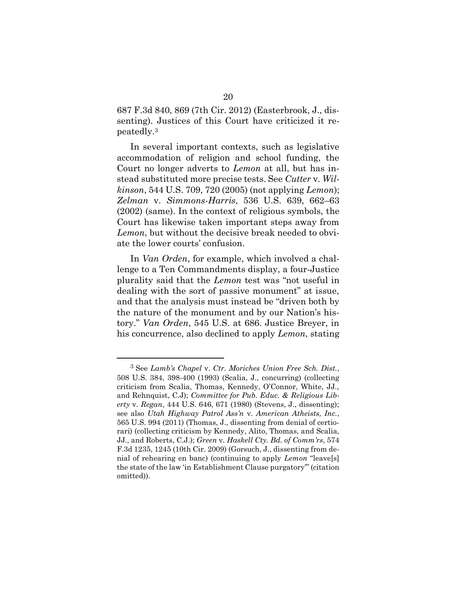687 F.3d 840, 869 (7th Cir. 2012) (Easterbrook, J., dissenting). Justices of this Court have criticized it repeatedly. 3

In several important contexts, such as legislative accommodation of religion and school funding, the Court no longer adverts to *Lemon* at all, but has instead substituted more precise tests. See *Cutter* v. *Wilkinson*, 544 U.S. 709, 720 (2005) (not applying *Lemon*); *Zelman* v. *Simmons-Harris*, 536 U.S. 639, 662–63 (2002) (same). In the context of religious symbols, the Court has likewise taken important steps away from *Lemon*, but without the decisive break needed to obviate the lower courts' confusion.

In *Van Orden*, for example, which involved a challenge to a Ten Commandments display, a four-Justice plurality said that the *Lemon* test was "not useful in dealing with the sort of passive monument" at issue, and that the analysis must instead be "driven both by the nature of the monument and by our Nation's history." *Van Orden*, 545 U.S. at 686. Justice Breyer, in his concurrence, also declined to apply *Lemon*, stating

<sup>3</sup> See *Lamb's Chapel* v. *Ctr. Moriches Union Free Sch. Dist.*, 508 U.S. 384, 398-400 (1993) (Scalia, J., concurring) (collecting criticism from Scalia, Thomas, Kennedy, O'Connor, White, JJ., and Rehnquist, C.J); *Committee for Pub. Educ. & Religious Liberty* v. *Regan*, 444 U.S. 646, 671 (1980) (Stevens, J., dissenting); see also *Utah Highway Patrol Ass'n* v. *American Atheists, Inc.*, 565 U.S. 994 (2011) (Thomas, J., dissenting from denial of certiorari) (collecting criticism by Kennedy, Alito, Thomas, and Scalia, JJ., and Roberts, C.J.); *Green* v. *Haskell Cty. Bd. of Comm'rs*, 574 F.3d 1235, 1245 (10th Cir. 2009) (Gorsuch, J., dissenting from denial of rehearing en banc) (continuing to apply *Lemon* "leave[s] the state of the law 'in Establishment Clause purgatory'" (citation omitted)).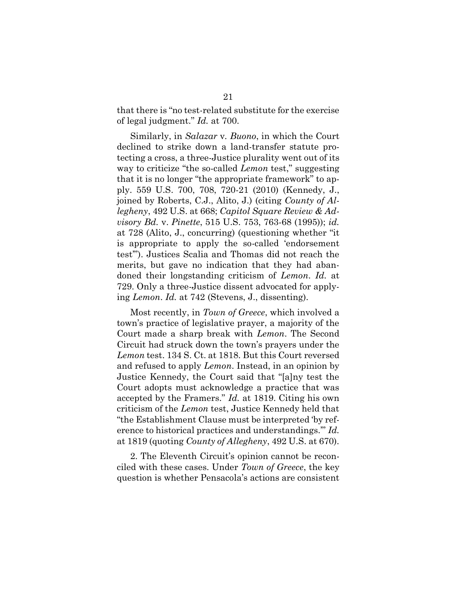that there is "no test-related substitute for the exercise of legal judgment." *Id.* at 700.

Similarly, in *Salazar* v*. Buono*, in which the Court declined to strike down a land-transfer statute protecting a cross, a three-Justice plurality went out of its way to criticize "the so-called *Lemon* test," suggesting that it is no longer "the appropriate framework" to apply. 559 U.S. 700, 708, 720-21 (2010) (Kennedy, J., joined by Roberts, C.J., Alito, J.) (citing *County of Allegheny*, 492 U.S. at 668; *Capitol Square Review & Advisory Bd.* v. *Pinette*, 515 U.S. 753, 763-68 (1995)); *id.* at 728 (Alito, J., concurring) (questioning whether "it is appropriate to apply the so-called 'endorsement test'"). Justices Scalia and Thomas did not reach the merits, but gave no indication that they had abandoned their longstanding criticism of *Lemon*. *Id.* at 729. Only a three-Justice dissent advocated for applying *Lemon*. *Id.* at 742 (Stevens, J., dissenting).

Most recently, in *Town of Greece*, which involved a town's practice of legislative prayer, a majority of the Court made a sharp break with *Lemon*. The Second Circuit had struck down the town's prayers under the *Lemon* test. 134 S. Ct. at 1818. But this Court reversed and refused to apply *Lemon*. Instead, in an opinion by Justice Kennedy, the Court said that "[a]ny test the Court adopts must acknowledge a practice that was accepted by the Framers." *Id.* at 1819. Citing his own criticism of the *Lemon* test, Justice Kennedy held that "the Establishment Clause must be interpreted 'by reference to historical practices and understandings.'" *Id.* at 1819 (quoting *County of Allegheny*, 492 U.S. at 670).

2. The Eleventh Circuit's opinion cannot be reconciled with these cases. Under *Town of Greece*, the key question is whether Pensacola's actions are consistent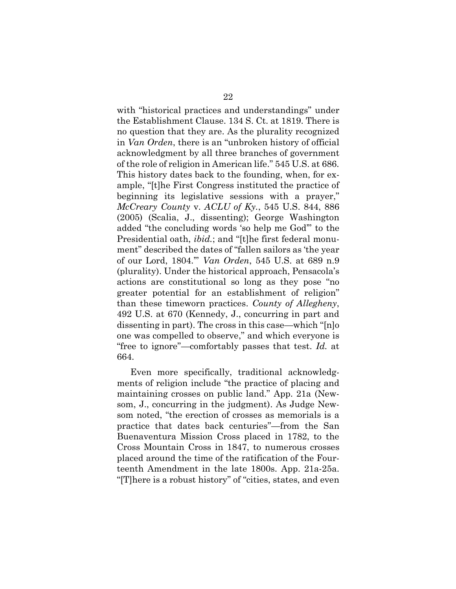with "historical practices and understandings" under the Establishment Clause. 134 S. Ct. at 1819. There is no question that they are. As the plurality recognized in *Van Orden*, there is an "unbroken history of official acknowledgment by all three branches of government of the role of religion in American life." 545 U.S. at 686. This history dates back to the founding, when, for example, "[t]he First Congress instituted the practice of beginning its legislative sessions with a prayer," *McCreary County* v. *ACLU of Ky.*, 545 U.S. 844, 886 (2005) (Scalia, J., dissenting); George Washington added "the concluding words 'so help me God'" to the Presidential oath, *ibid.*; and "[t]he first federal monument" described the dates of "fallen sailors as 'the year of our Lord, 1804.'" *Van Orden*, 545 U.S. at 689 n.9 (plurality). Under the historical approach, Pensacola's actions are constitutional so long as they pose "no greater potential for an establishment of religion" than these timeworn practices. *County of Allegheny*, 492 U.S. at 670 (Kennedy, J., concurring in part and dissenting in part). The cross in this case—which "[n]o one was compelled to observe," and which everyone is "free to ignore"—comfortably passes that test. *Id.* at 664.

Even more specifically, traditional acknowledgments of religion include "the practice of placing and maintaining crosses on public land." App. 21a (Newsom, J., concurring in the judgment). As Judge Newsom noted, "the erection of crosses as memorials is a practice that dates back centuries"—from the San Buenaventura Mission Cross placed in 1782, to the Cross Mountain Cross in 1847, to numerous crosses placed around the time of the ratification of the Fourteenth Amendment in the late 1800s. App. 21a-25a. "[T]here is a robust history" of "cities, states, and even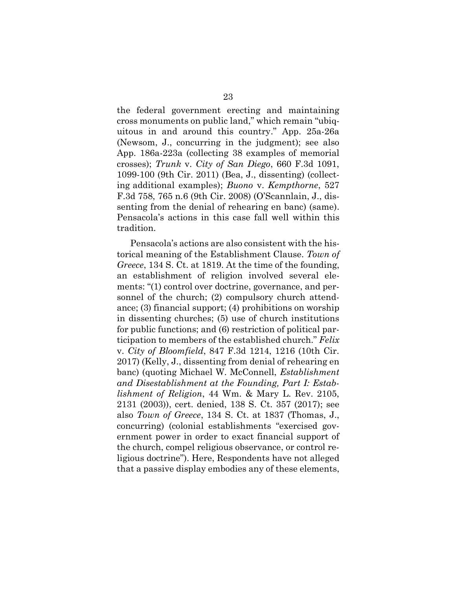the federal government erecting and maintaining cross monuments on public land," which remain "ubiquitous in and around this country." App. 25a-26a (Newsom, J., concurring in the judgment); see also App. 186a-223a (collecting 38 examples of memorial crosses); *Trunk* v. *City of San Diego*, 660 F.3d 1091, 1099-100 (9th Cir. 2011) (Bea, J., dissenting) (collecting additional examples); *Buono* v. *Kempthorne*, 527 F.3d 758, 765 n.6 (9th Cir. 2008) (O'Scannlain, J., dissenting from the denial of rehearing en banc) (same). Pensacola's actions in this case fall well within this tradition.

Pensacola's actions are also consistent with the historical meaning of the Establishment Clause. *Town of Greece*, 134 S. Ct. at 1819. At the time of the founding, an establishment of religion involved several elements: "(1) control over doctrine, governance, and personnel of the church; (2) compulsory church attendance; (3) financial support; (4) prohibitions on worship in dissenting churches; (5) use of church institutions for public functions; and (6) restriction of political participation to members of the established church." *Felix*  v. *City of Bloomfield*, 847 F.3d 1214, 1216 (10th Cir. 2017) (Kelly, J., dissenting from denial of rehearing en banc) (quoting Michael W. McConnell, *Establishment and Disestablishment at the Founding, Part I: Establishment of Religion*, 44 Wm. & Mary L. Rev. 2105, 2131 (2003)), cert. denied, 138 S. Ct. 357 (2017); see also *Town of Greece*, 134 S. Ct. at 1837 (Thomas, J., concurring) (colonial establishments "exercised government power in order to exact financial support of the church, compel religious observance, or control religious doctrine"). Here, Respondents have not alleged that a passive display embodies any of these elements,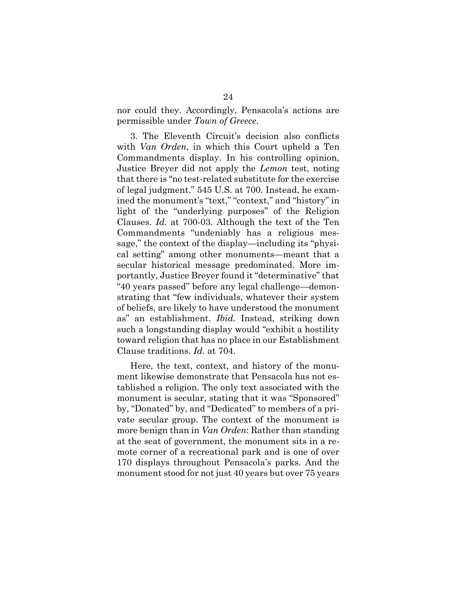nor could they. Accordingly, Pensacola's actions are permissible under *Town of Greece*.

3. The Eleventh Circuit's decision also conflicts with *Van Orden*, in which this Court upheld a Ten Commandments display. In his controlling opinion, Justice Breyer did not apply the *Lemon* test, noting that there is "no test-related substitute for the exercise of legal judgment." 545 U.S. at 700. Instead, he examined the monument's "text," "context," and "history" in light of the "underlying purposes" of the Religion Clauses. *Id.* at 700-03. Although the text of the Ten Commandments "undeniably has a religious message," the context of the display—including its "physical setting" among other monuments—meant that a secular historical message predominated. More importantly, Justice Breyer found it "determinative" that "40 years passed" before any legal challenge—demonstrating that "few individuals, whatever their system of beliefs, are likely to have understood the monument as" an establishment. *Ibid.* Instead, striking down such a longstanding display would "exhibit a hostility toward religion that has no place in our Establishment Clause traditions. *Id.* at 704.

Here, the text, context, and history of the monument likewise demonstrate that Pensacola has not established a religion. The only text associated with the monument is secular, stating that it was "Sponsored" by, "Donated" by, and "Dedicated" to members of a private secular group. The context of the monument is more benign than in *Van Orden*: Rather than standing at the seat of government, the monument sits in a remote corner of a recreational park and is one of over 170 displays throughout Pensacola's parks. And the monument stood for not just 40 years but over 75 years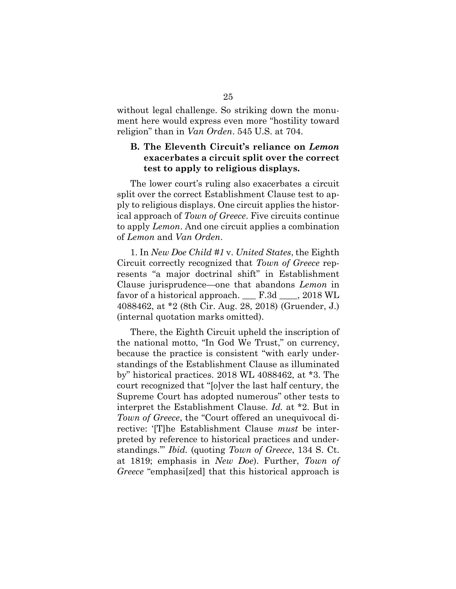without legal challenge. So striking down the monument here would express even more "hostility toward religion" than in *Van Orden*. 545 U.S. at 704.

### **B. The Eleventh Circuit's reliance on** *Lemon* **exacerbates a circuit split over the correct test to apply to religious displays.**

The lower court's ruling also exacerbates a circuit split over the correct Establishment Clause test to apply to religious displays. One circuit applies the historical approach of *Town of Greece*. Five circuits continue to apply *Lemon*. And one circuit applies a combination of *Lemon* and *Van Orden*.

1. In *New Doe Child #1* v. *United States*, the Eighth Circuit correctly recognized that *Town of Greece* represents "a major doctrinal shift" in Establishment Clause jurisprudence—one that abandons *Lemon* in favor of a historical approach.  $\qquad$  F.3d  $\qquad$ , 2018 WL 4088462, at \*2 (8th Cir. Aug. 28, 2018) (Gruender, J.) (internal quotation marks omitted).

There, the Eighth Circuit upheld the inscription of the national motto, "In God We Trust," on currency, because the practice is consistent "with early understandings of the Establishment Clause as illuminated by" historical practices. 2018 WL 4088462, at \*3. The court recognized that "[o]ver the last half century, the Supreme Court has adopted numerous" other tests to interpret the Establishment Clause. *Id.* at \*2. But in *Town of Greece*, the "Court offered an unequivocal directive: '[T]he Establishment Clause *must* be interpreted by reference to historical practices and understandings.'" *Ibid.* (quoting *Town of Greece*, 134 S. Ct. at 1819; emphasis in *New Doe*). Further, *Town of Greece* "emphasi[zed] that this historical approach is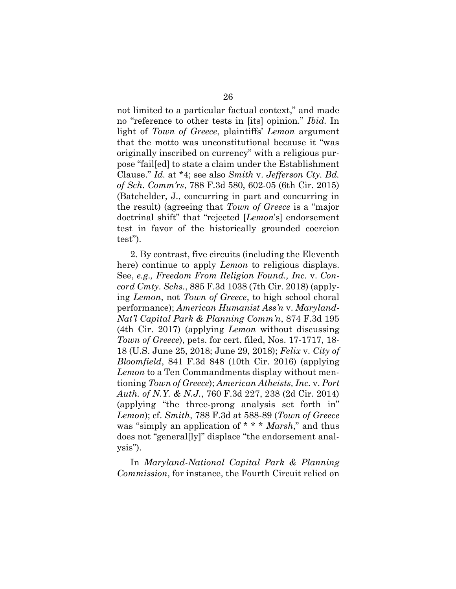not limited to a particular factual context," and made no "reference to other tests in [its] opinion." *Ibid.* In light of *Town of Greece*, plaintiffs' *Lemon* argument that the motto was unconstitutional because it "was originally inscribed on currency" with a religious purpose "fail[ed] to state a claim under the Establishment Clause." *Id.* at \*4; see also *Smith* v. *Jefferson Cty. Bd. of Sch. Comm'rs*, 788 F.3d 580, 602-05 (6th Cir. 2015) (Batchelder, J., concurring in part and concurring in the result) (agreeing that *Town of Greece* is a "major doctrinal shift" that "rejected [*Lemon*'s] endorsement test in favor of the historically grounded coercion test").

2. By contrast, five circuits (including the Eleventh here) continue to apply *Lemon* to religious displays. See, *e.g., Freedom From Religion Found., Inc.* v. *Concord Cmty. Schs.*, 885 F.3d 1038 (7th Cir. 2018) (applying *Lemon*, not *Town of Greece*, to high school choral performance); *American Humanist Ass'n* v. *Maryland-Nat'l Capital Park & Planning Comm'n*, 874 F.3d 195 (4th Cir. 2017) (applying *Lemon* without discussing *Town of Greece*), pets. for cert. filed, Nos. 17-1717, 18- 18 (U.S. June 25, 2018; June 29, 2018); *Felix* v. *City of Bloomfield*, 841 F.3d 848 (10th Cir. 2016) (applying *Lemon* to a Ten Commandments display without mentioning *Town of Greece*); *American Atheists, Inc.* v. *Port Auth. of N.Y. & N.J.*, 760 F.3d 227, 238 (2d Cir. 2014) (applying "the three-prong analysis set forth in" *Lemon*); cf. *Smith*, 788 F.3d at 588-89 (*Town of Greece* was "simply an application of \* \* \* *Marsh*," and thus does not "general[ly]" displace "the endorsement analysis").

In *Maryland-National Capital Park & Planning Commission*, for instance, the Fourth Circuit relied on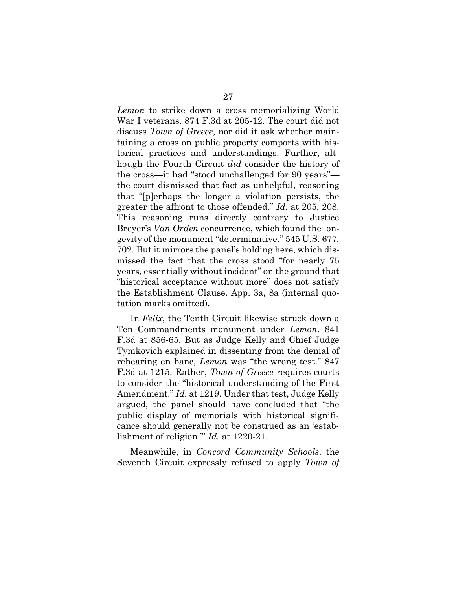*Lemon* to strike down a cross memorializing World War I veterans. 874 F.3d at 205-12. The court did not discuss *Town of Greece*, nor did it ask whether maintaining a cross on public property comports with historical practices and understandings. Further, although the Fourth Circuit *did* consider the history of the cross—it had "stood unchallenged for 90 years" the court dismissed that fact as unhelpful, reasoning that "[p]erhaps the longer a violation persists, the greater the affront to those offended." *Id.* at 205, 208. This reasoning runs directly contrary to Justice Breyer's *Van Orden* concurrence, which found the longevity of the monument "determinative." 545 U.S. 677, 702. But it mirrors the panel's holding here, which dismissed the fact that the cross stood "for nearly 75 years, essentially without incident" on the ground that "historical acceptance without more" does not satisfy the Establishment Clause. App. 3a, 8a (internal quotation marks omitted).

In *Felix*, the Tenth Circuit likewise struck down a Ten Commandments monument under *Lemon*. 841 F.3d at 856-65. But as Judge Kelly and Chief Judge Tymkovich explained in dissenting from the denial of rehearing en banc, *Lemon* was "the wrong test." 847 F.3d at 1215. Rather, *Town of Greece* requires courts to consider the "historical understanding of the First Amendment." *Id.* at 1219. Under that test, Judge Kelly argued, the panel should have concluded that "the public display of memorials with historical significance should generally not be construed as an 'establishment of religion.'" *Id.* at 1220-21.

Meanwhile, in *Concord Community Schools*, the Seventh Circuit expressly refused to apply *Town of*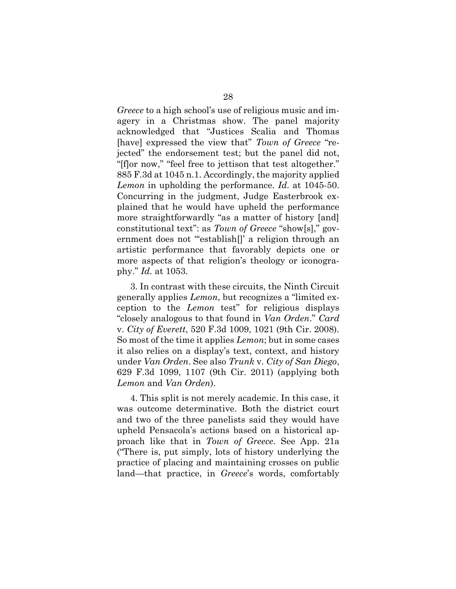*Greece* to a high school's use of religious music and imagery in a Christmas show. The panel majority acknowledged that "Justices Scalia and Thomas [have] expressed the view that" *Town of Greece* "rejected" the endorsement test; but the panel did not, "[f]or now," "feel free to jettison that test altogether." 885 F.3d at 1045 n.1. Accordingly, the majority applied *Lemon* in upholding the performance. *Id.* at 1045-50. Concurring in the judgment, Judge Easterbrook explained that he would have upheld the performance more straightforwardly "as a matter of history [and] constitutional text": as *Town of Greece* "show[s]," government does not "establish[]' a religion through an artistic performance that favorably depicts one or more aspects of that religion's theology or iconography." *Id.* at 1053.

3. In contrast with these circuits, the Ninth Circuit generally applies *Lemon*, but recognizes a "limited exception to the *Lemon* test" for religious displays "closely analogous to that found in *Van Orden*." *Card*  v. *City of Everett*, 520 F.3d 1009, 1021 (9th Cir. 2008). So most of the time it applies *Lemon*; but in some cases it also relies on a display's text, context, and history under *Van Orden*. See also *Trunk* v. *City of San Diego*, 629 F.3d 1099, 1107 (9th Cir. 2011) (applying both *Lemon* and *Van Orden*).

4. This split is not merely academic. In this case, it was outcome determinative. Both the district court and two of the three panelists said they would have upheld Pensacola's actions based on a historical approach like that in *Town of Greece*. See App. 21a ("There is, put simply, lots of history underlying the practice of placing and maintaining crosses on public land—that practice, in *Greece*'s words, comfortably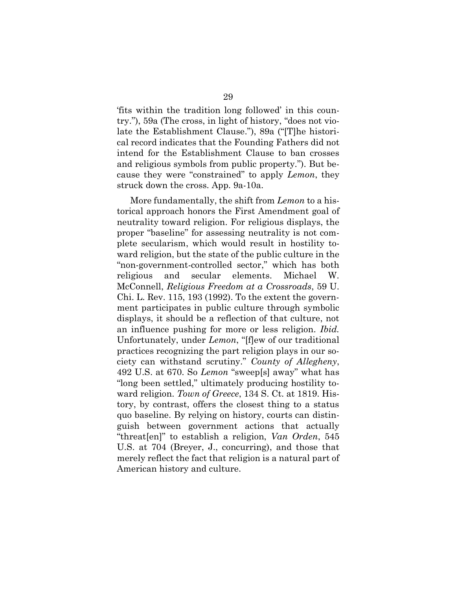'fits within the tradition long followed' in this country."), 59a (The cross, in light of history, "does not violate the Establishment Clause."), 89a ("[T]he historical record indicates that the Founding Fathers did not intend for the Establishment Clause to ban crosses and religious symbols from public property."). But because they were "constrained" to apply *Lemon*, they struck down the cross. App. 9a-10a.

More fundamentally, the shift from *Lemon* to a historical approach honors the First Amendment goal of neutrality toward religion. For religious displays, the proper "baseline" for assessing neutrality is not complete secularism, which would result in hostility toward religion, but the state of the public culture in the "non-government-controlled sector," which has both religious and secular elements. Michael W. McConnell, *Religious Freedom at a Crossroads*, 59 U. Chi. L. Rev. 115, 193 (1992). To the extent the government participates in public culture through symbolic displays, it should be a reflection of that culture, not an influence pushing for more or less religion. *Ibid.* Unfortunately, under *Lemon*, "[f]ew of our traditional practices recognizing the part religion plays in our society can withstand scrutiny." *County of Allegheny*, 492 U.S. at 670. So *Lemon* "sweep[s] away" what has "long been settled," ultimately producing hostility toward religion. *Town of Greece*, 134 S. Ct. at 1819. History, by contrast, offers the closest thing to a status quo baseline. By relying on history, courts can distinguish between government actions that actually "threat[en]" to establish a religion, *Van Orden*, 545 U.S. at 704 (Breyer, J., concurring), and those that merely reflect the fact that religion is a natural part of American history and culture.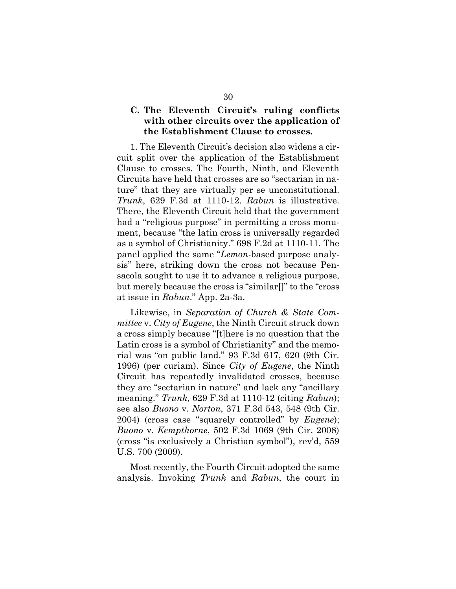### **C. The Eleventh Circuit's ruling conflicts with other circuits over the application of the Establishment Clause to crosses.**

1. The Eleventh Circuit's decision also widens a circuit split over the application of the Establishment Clause to crosses. The Fourth, Ninth, and Eleventh Circuits have held that crosses are so "sectarian in nature" that they are virtually per se unconstitutional. *Trunk*, 629 F.3d at 1110-12. *Rabun* is illustrative. There, the Eleventh Circuit held that the government had a "religious purpose" in permitting a cross monument, because "the latin cross is universally regarded as a symbol of Christianity." 698 F.2d at 1110-11. The panel applied the same "*Lemon*-based purpose analysis" here, striking down the cross not because Pensacola sought to use it to advance a religious purpose, but merely because the cross is "similar[]" to the "cross at issue in *Rabun*." App. 2a-3a.

Likewise, in *Separation of Church & State Committee* v. *City of Eugene*, the Ninth Circuit struck down a cross simply because "[t]here is no question that the Latin cross is a symbol of Christianity" and the memorial was "on public land." 93 F.3d 617, 620 (9th Cir. 1996) (per curiam). Since *City of Eugene*, the Ninth Circuit has repeatedly invalidated crosses, because they are "sectarian in nature" and lack any "ancillary meaning." *Trunk*, 629 F.3d at 1110-12 (citing *Rabun*); see also *Buono* v. *Norton*, 371 F.3d 543, 548 (9th Cir. 2004) (cross case "squarely controlled" by *Eugene*); *Buono* v. *Kempthorne*, 502 F.3d 1069 (9th Cir. 2008) (cross "is exclusively a Christian symbol"), rev'd, 559 U.S. 700 (2009).

Most recently, the Fourth Circuit adopted the same analysis. Invoking *Trunk* and *Rabun*, the court in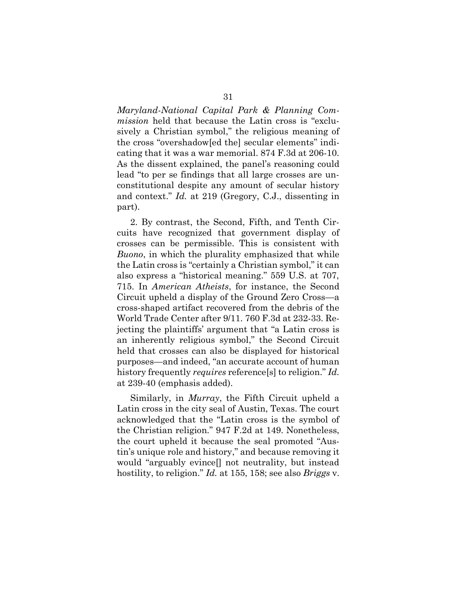*Maryland-National Capital Park & Planning Commission* held that because the Latin cross is "exclusively a Christian symbol," the religious meaning of the cross "overshadow[ed the] secular elements" indicating that it was a war memorial. 874 F.3d at 206-10. As the dissent explained, the panel's reasoning could lead "to per se findings that all large crosses are unconstitutional despite any amount of secular history and context." *Id.* at 219 (Gregory, C.J., dissenting in part).

2. By contrast, the Second, Fifth, and Tenth Circuits have recognized that government display of crosses can be permissible. This is consistent with *Buono*, in which the plurality emphasized that while the Latin cross is "certainly a Christian symbol," it can also express a "historical meaning." 559 U.S. at 707, 715. In *American Atheists*, for instance, the Second Circuit upheld a display of the Ground Zero Cross—a cross-shaped artifact recovered from the debris of the World Trade Center after 9/11. 760 F.3d at 232-33. Rejecting the plaintiffs' argument that "a Latin cross is an inherently religious symbol," the Second Circuit held that crosses can also be displayed for historical purposes—and indeed, "an accurate account of human history frequently *requires* reference[s] to religion." *Id.* at 239-40 (emphasis added).

Similarly, in *Murray*, the Fifth Circuit upheld a Latin cross in the city seal of Austin, Texas. The court acknowledged that the "Latin cross is the symbol of the Christian religion." 947 F.2d at 149. Nonetheless, the court upheld it because the seal promoted "Austin's unique role and history," and because removing it would "arguably evince[] not neutrality, but instead hostility, to religion." *Id.* at 155, 158; see also *Briggs* v.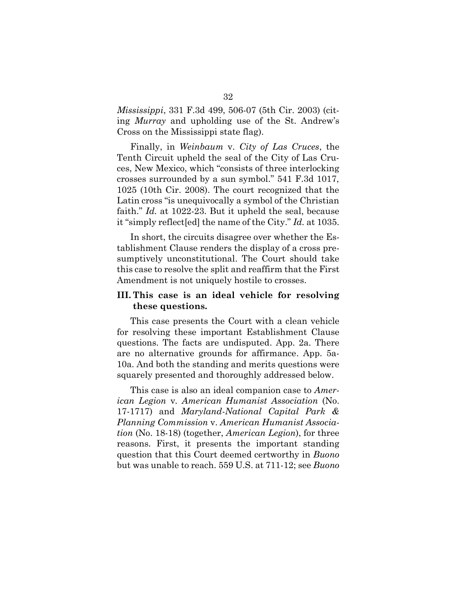*Mississippi*, 331 F.3d 499, 506-07 (5th Cir. 2003) (citing *Murray* and upholding use of the St. Andrew's Cross on the Mississippi state flag).

Finally, in *Weinbaum* v. *City of Las Cruces*, the Tenth Circuit upheld the seal of the City of Las Cruces, New Mexico, which "consists of three interlocking crosses surrounded by a sun symbol." 541 F.3d 1017, 1025 (10th Cir. 2008). The court recognized that the Latin cross "is unequivocally a symbol of the Christian faith." *Id.* at 1022-23. But it upheld the seal, because it "simply reflect[ed] the name of the City." *Id.* at 1035.

In short, the circuits disagree over whether the Establishment Clause renders the display of a cross presumptively unconstitutional. The Court should take this case to resolve the split and reaffirm that the First Amendment is not uniquely hostile to crosses.

## **III. This case is an ideal vehicle for resolving these questions.**

This case presents the Court with a clean vehicle for resolving these important Establishment Clause questions. The facts are undisputed. App. 2a. There are no alternative grounds for affirmance. App. 5a-10a. And both the standing and merits questions were squarely presented and thoroughly addressed below.

This case is also an ideal companion case to *American Legion* v*. American Humanist Association* (No. 17-1717) and *Maryland-National Capital Park & Planning Commission* v. *American Humanist Association* (No. 18-18) (together, *American Legion*), for three reasons. First, it presents the important standing question that this Court deemed certworthy in *Buono* but was unable to reach. 559 U.S. at 711-12; see *Buono*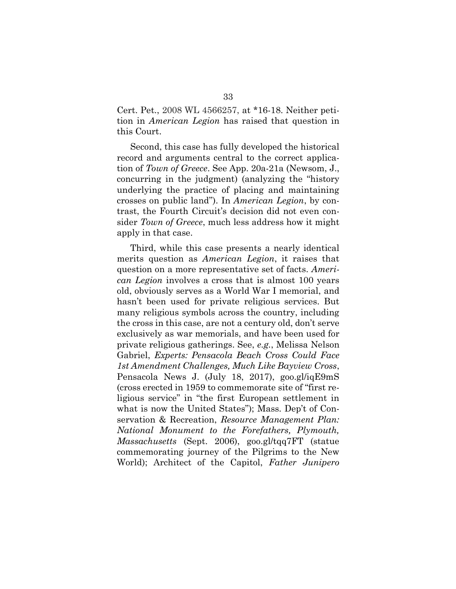Cert. Pet., 2008 WL 4566257, at \*16-18. Neither petition in *American Legion* has raised that question in this Court.

Second, this case has fully developed the historical record and arguments central to the correct application of *Town of Greece*. See App. 20a-21a (Newsom, J., concurring in the judgment) (analyzing the "history underlying the practice of placing and maintaining crosses on public land"). In *American Legion*, by contrast, the Fourth Circuit's decision did not even consider *Town of Greece*, much less address how it might apply in that case.

Third, while this case presents a nearly identical merits question as *American Legion*, it raises that question on a more representative set of facts. *American Legion* involves a cross that is almost 100 years old, obviously serves as a World War I memorial, and hasn't been used for private religious services. But many religious symbols across the country, including the cross in this case, are not a century old, don't serve exclusively as war memorials, and have been used for private religious gatherings. See, *e.g.*, Melissa Nelson Gabriel, *Experts: Pensacola Beach Cross Could Face 1st Amendment Challenges, Much Like Bayview Cross*, Pensacola News J. (July 18, 2017), goo.gl/iqE9mS (cross erected in 1959 to commemorate site of "first religious service" in "the first European settlement in what is now the United States"); Mass. Dep't of Conservation & Recreation, *Resource Management Plan: National Monument to the Forefathers, Plymouth, Massachusetts* (Sept. 2006), goo.gl/tqq7FT (statue commemorating journey of the Pilgrims to the New World); Architect of the Capitol, *Father Junipero*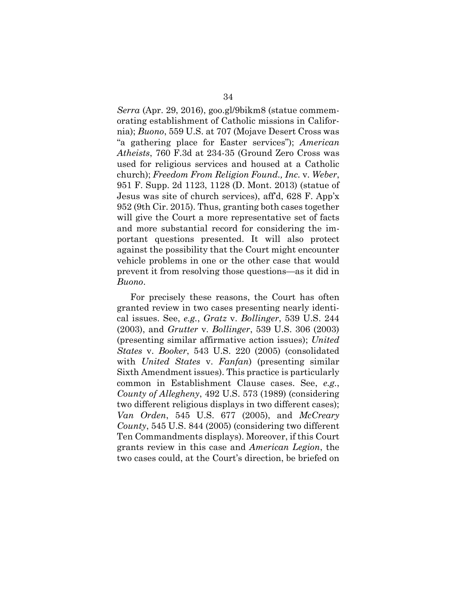*Serra* (Apr. 29, 2016), goo.gl/9bikm8 (statue commemorating establishment of Catholic missions in California); *Buono*, 559 U.S. at 707 (Mojave Desert Cross was "a gathering place for Easter services"); *American Atheists*, 760 F.3d at 234-35 (Ground Zero Cross was used for religious services and housed at a Catholic church); *Freedom From Religion Found., Inc.* v. *Weber*, 951 F. Supp. 2d 1123, 1128 (D. Mont. 2013) (statue of Jesus was site of church services), aff'd, 628 F. App'x 952 (9th Cir. 2015). Thus, granting both cases together will give the Court a more representative set of facts and more substantial record for considering the important questions presented. It will also protect against the possibility that the Court might encounter vehicle problems in one or the other case that would prevent it from resolving those questions—as it did in *Buono*.

For precisely these reasons, the Court has often granted review in two cases presenting nearly identical issues. See, *e.g.*, *Gratz* v. *Bollinger*, 539 U.S. 244 (2003), and *Grutter* v. *Bollinger*, 539 U.S. 306 (2003) (presenting similar affirmative action issues); *United States* v. *Booker*, 543 U.S. 220 (2005) (consolidated with *United States* v. *Fanfan*) (presenting similar Sixth Amendment issues). This practice is particularly common in Establishment Clause cases. See, *e.g.*, *County of Allegheny*, 492 U.S. 573 (1989) (considering two different religious displays in two different cases); *Van Orden*, 545 U.S. 677 (2005), and *McCreary County*, 545 U.S. 844 (2005) (considering two different Ten Commandments displays). Moreover, if this Court grants review in this case and *American Legion*, the two cases could, at the Court's direction, be briefed on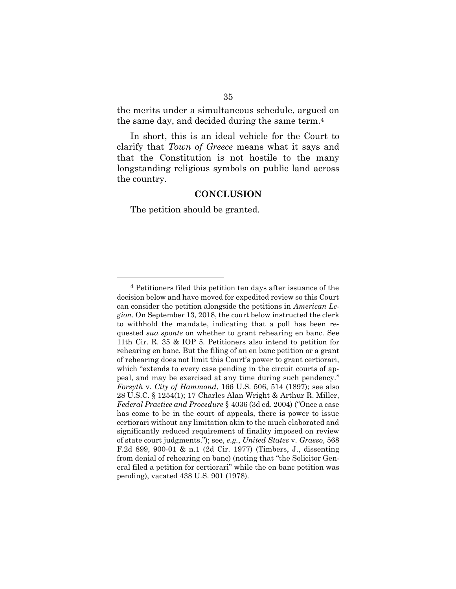the merits under a simultaneous schedule, argued on the same day, and decided during the same term.<sup>4</sup>

In short, this is an ideal vehicle for the Court to clarify that *Town of Greece* means what it says and that the Constitution is not hostile to the many longstanding religious symbols on public land across the country.

#### **CONCLUSION**

The petition should be granted.

<sup>4</sup> Petitioners filed this petition ten days after issuance of the decision below and have moved for expedited review so this Court can consider the petition alongside the petitions in *American Legion*. On September 13, 2018, the court below instructed the clerk to withhold the mandate, indicating that a poll has been requested *sua sponte* on whether to grant rehearing en banc. See 11th Cir. R. 35 & IOP 5. Petitioners also intend to petition for rehearing en banc. But the filing of an en banc petition or a grant of rehearing does not limit this Court's power to grant certiorari, which "extends to every case pending in the circuit courts of appeal, and may be exercised at any time during such pendency." *Forsyth* v. *City of Hammond*, 166 U.S. 506, 514 (1897); see also 28 U.S.C. § 1254(1); 17 Charles Alan Wright & Arthur R. Miller, *Federal Practice and Procedure* § 4036 (3d ed. 2004) ("Once a case has come to be in the court of appeals, there is power to issue certiorari without any limitation akin to the much elaborated and significantly reduced requirement of finality imposed on review of state court judgments."); see, *e.g.*, *United States* v. *Grasso*, 568 F.2d 899, 900-01 & n.1 (2d Cir. 1977) (Timbers, J., dissenting from denial of rehearing en banc) (noting that "the Solicitor General filed a petition for certiorari" while the en banc petition was pending), vacated 438 U.S. 901 (1978).